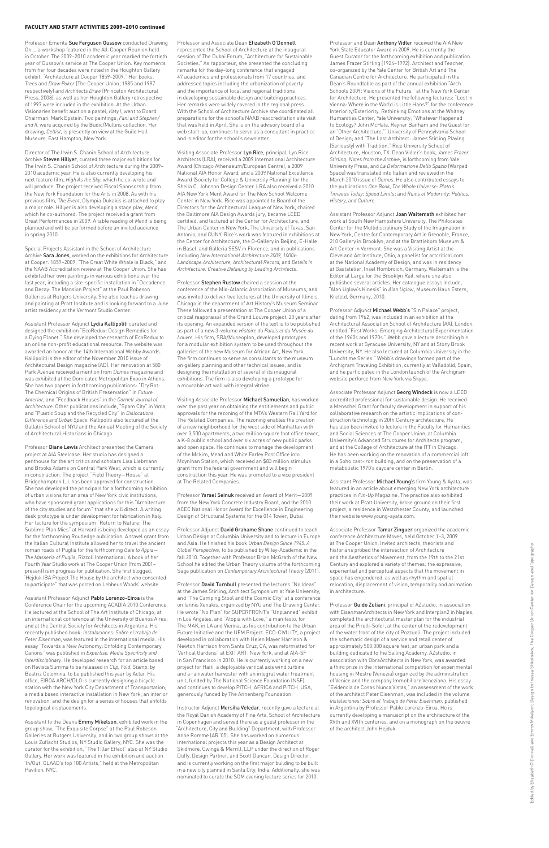Professor Emerita Sue Ferguson Gussow conducted Drawing On…, a workshop featured in the All-Cooper Reunion held in October. The 2009–2010 academic year marked the fortieth year of Gussow's service at The Cooper Union. Key moments from her four decades were noted in the Houghton Gallery exhibit, "Architecture at Cooper 1859–2009." Her books, *Trees* and *Draw Poker* (The Cooper Union, 1985 and 1997 respectively) and *Architects Draw* (Princeton Architectural Press, 2008), as well as her Houghton Gallery retrospective of 1997 were included in the exhibition. At the Urban Visionaries benefit auction a pastel, *Katy I*, went to Board Chairman, Mark Epstein. Two paintings, *Fani and Stephen/ and II*, were acquired by the Budic/Mullins collection. Her drawing, *Cellist*, is presently on view at the Guild Hall Museum, East Hampton, New York.

Director of The Irwin S. Chanin School of Architecture Archive Steven Hillyer, curated three major exhibitions for The Irwin S. Chanin School of Architecture during the 2009– 2010 academic year. He is also currently developing his next feature film, *High As the Sky*, which he co-wrote and will produce. The project received Fiscal Sponsorship from the New York Foundation for the Arts in 2008. As with his previous film, *The Event*, Olympia Dukakis is attached to play a major role. Hillyer is also developing a stage play, *Mend*, which he co-authored. The project received a grant from Great Performances in 2009. A table reading of *Mend* is being planned and will be performed before an invited audience in spring 2010.

Special Projects Assistant in the School of Architecture Archive Sara Jones, worked on the exhibitions for Architecture at Cooper: 1859–2009, "The Great White Whale is Black," and the NAAB Accreditation review at The Cooper Union. She has exhibited her own paintings in various exhibitions over the last year, including a site-specific installation in "Decadence and Decay: The Mansion Project" at the Paul Robeson Galleries at Rutgers University. She also teaches drawing and painting at Pratt Institute and is looking forward to a June artist residency at the Vermont Studio Center.

Assistant Professor Adjunct Lydia Kallipoliti curated and designed the exhibition "EcoRedux: Design Remedies for a Dying Planet." She developed the research of EcoRedux to an online non-profit educational resource. The website was awarded an honor at the 14th International Webby Awards. Kallipoliti is the editor of the November 2010 issue of Architectural Design magazine (AD). Her renovation at 580 Park Avenue received a mention from *Domes* magazine and was exhibited at the Domicatec Metropolitan Expo in Athens. She has two papers in forthcoming publications: "Dry Rot: The Chemical Origins of British Preservation" in *Future Anterior*, and "Feedback Houses" in the *Cornell Journal of Architecture*. Other publications include, "Spam City" in *Vima*, and "Plastic Soup and the Recycled City" in *Dislocations: Difference and Urban Space*. Kallipoliti also lectured at the Gallatin School of NYU and the Annual Meeting of the Society of Architectural Historians in Chicago.

Assistant to the Deans Emmy Mikelson, exhibited work in the group show, "The Exquisite Corpse" at the Paul Robeson Galleries at Rutgers University, and in two group shows at the Louis Zuflacht Studios, NY Studio Gallery, NYC. She was the curator for the exhibition, "The Tiller Effect" also at NY Studio Gallery. Her work was featured in the exhibition and auction "In/Out: GLAAD's top 100 Artists," held at the Metropolitan Pavilion, NYC.

Professor Diane Lewis Architect presented the Camera project at AIA Steelcase. Her studio has designed a penthouse for the art critics and scholars Lisa Liebmann and Brooks Adams on Central Park West, which is currently in construction. The project "Field Theory—House" at Bridgehampton L.I. has been approved for construction. She has developed the principals for a forthcoming exhibition of urban visions for an area of New York civic institutions, who have sponsored grant applications for this "Architecture of the city studies and forum" that she will direct. A writing desk prototype is under development for fabrication in Italy. Her lecture for the symposium "Return to Nature; The Sublime Plan Mies" at Harvard is being developed as an essay for the forthcoming Routledge publication. A travel grant from the Italian Cultural Institute allowed her to travel the ancient roman roads of Puglia for the forthcoming *Gate to Appia— The Masseria of Puglia*, Rizzoli International. A book of her Fourth Year Studio work at The Cooper Union (from 2001– present) is in progress for publication. She first blogged, "Hejduk IBA Project The House by the architect who consented to participate" that was posted on Lebbeus Woods' website.

Assistant Professor Adjunct Pablo Lorenzo-Eiroa is the Conference Chair for the upcoming ACADIA 2010 Conference. He lectured at the School of The Art Institute of Chicago; at an international conference at the University of Buenos Aires; and at the Central Society for Architects in Argentina. His recently published book: *Instalaciones: Sobre el trabajo de Peter Eisenman*, was featured in the international media. His essay "Towards a New Autonomy: Enfolding Contemporary Canons" was published in *Expertise, Media Specificity and Interdisciplinary*. He developed research for an article based on Revista Summa to be released in *Clip, Fold, Stamp*, by Beatriz Colomina, to be published this year by Actar. His office, EIROA ARCH/DLO is currently designing a bicycle station with the New York City Department of Transportation; a media based interactive installation in New York; an interior renovation; and the design for a series of houses that enfolds topological displacements.

Professor and Associate Dean Elizabeth O'Donnell represented the School of Architecture at the inaugural session of The Dubai Forum, "Architecture for Sustainable Societies." As rapporteur, she presented the concluding remarks for the day-long conference that engaged 47 academics and professionals from 17 countries, and addressed topics including the urbanization of poverty and the importance of local and regional traditions in developing sustainable design and building practices. Her remarks were widely covered in the regional press. With the School of Architecture Archive she coordinated all preparations for the school's NAAB reaccreditation site visit that was held in April. She is on the advisory board of a web start-up, continues to serve as a consultant in practice and is editor for the school's newsletter.

Visiting Associate Professor Lyn Rice, principal, Lyn Rice Architects (LRA), received a 2009 International Architecture Award (Chicago Athenaeum/European Centre), a 2009 National AIA Honor Award, and a 2009 National Excellence Award (Society for College & University Planning) for the Sheila C. Johnson Design Center. LRA also received a 2010 AIA New York Merit Award for The New School Welcome Center in New York. Rice was appointed to Board of the Directors for the Architectural League of New York, chaired the Baltimore AIA Design Awards jury, became LEED certified, and lectured at the Center for Architecture, and The Urban Center in New York, The University of Texas, San Antonio, and CUNY. Rice's work was featured in exhibitions at the Center for Architecture, the O-Gallery in Beijing, E-Halle in Basel, and Galleria SESV in Florence, and in publications including *New International Architecture 2009, 1000x: Landscape Architecture, Architectural Record,* and *Details in Architecture: Creative Detailing by Leading Architects*.

> Associate Professor Adjunct Georg Windeck is now a LEED accredited professional for sustainable design. He received a Menschel Grant for faculty development in support of his collaborative research on the artistic implications of construction technology in 20th Century architecture. He has also been invited to lecture in the Faculty for Humanities and Social Sciences at The Cooper Union, at Columbia University's Advanced Structures for Architects program, and at the College of Architecture at the ITT in Chicago. He has been working on the renovation of a commercial loft in a Soho cast-iron building, and on the preservation of a metabolistic 1970's daycare center in Berlin.

Professor Stephen Rustow chaired a session at the conference of the Mid-Atlantic Association of Museums, and was invited to deliver two lectures at the University of Illinois, Chicago in the department of Art History's Museum Seminar. These followed a presentation at The Cooper Union of a critical reappraisal of the Grand Louvre project, 20 years after its opening. An expanded version of the text is to be published as part of a new 3-volume *Histoire du Palais et du Musée du Louvre*. His firm, SRA/Museoplan, developed prototypes for a modular exhibition system to be used throughout the galleries of the new Museum for African Art, New York. The firm continues to serve as consultants to the museum on gallery planning and other technical issues, and is designing the installation of several of its inaugural exhibitions. The firm is also developing a prototype for a moveable art wall with integral vitrine.

Visiting Associate Professor Michael Samuelian, has worked over the past year on obtaining the entitlements and public approvals for the rezoning of the MTA's Western Rail Yard for The Related Companies. The rezoning enables the creation of a new neighborhood for the west side of Manhattan with over 3,500 apartments, a two million square foot office tower, a K-8 public school and over six acres of new public parks and open space. He continues to manage the development of the Mckim, Mead and White Farley Post Office into Moynihan Station, which received an \$83 million stimulus grant from the federal government and will begin construction this year. He was promoted to a vice president at The Related Companies.

Professor Ysrael Seinuk received an Award of Merit—2009 from the New York Concrete Industry Board, and the 2010 ACEC National Honor Award for Excellence in Engineering Design of Structural Systems for the 014 Tower, Dubai.

Professor Adjunct David Grahame Shane continued to teach Urban Design at Columbia University and to lecture in Europe and Asia. He finished his book *Urban Design Since 1945: A Global Perspective*, to be published by Wiley-Academic in the fall 2010. Together with Professor Brian McGrath of the New School he edited the Urban Theory volume of the forthcoming Sage publication on *Contemporary Architectural Theory* (2011).

Professor David Turnbull presented the lectures "No Ideas" at the James Stirling, Architect Symposium at Yale University, and "The Camping Stool and the Cosmic City" at a conference on Iannis Xenakis, organized by NYU and The Drawing Center. He wrote "No Plan" for SUPERFRONT's "Unplanned" exhibit in Los Angeles, and "Atopia with Love," a manifesto, for The MAK, in LA and Vienna, as his contribution to the Urban Future Initiative and the UFM Project. ECO-CIVILITY, a project developed in collaboration with Helen Mayer Harrison & Newton Harrison from Santa Cruz, CA, was reformatted for "Vertical Gardens" at EXIT ART, New York, and at AIA-SF in San Francisco in 2010. He is currently working on a new project for Haiti, a deployable vertical axis wind turbine and a rainwater harvester with an integral water treatment unit, funded by The National Science Foundation (NSF), and continues to develop PITCH\_AFRICA and PITCH\_USA, generously funded by The Annenberg Foundation.

Instructor Adjunct Mersiha Veledar, recently gave a lecture at the Royal Danish Academy of Fine Arts, School of Architecture in Copenhagen and served there as a guest professor in the "Architecture, City and Building" Department, with Professor Anne Romme (AR '05). She has worked on numerous international projects this year as a Design Architect at Skidmore, Owings & Merrill, LLP under the direction of Roger Duffy, Design Partner, and Scott Duncan, Design Director, and is currently working on the first major building to be built in a new city planned in Santa City, India. Additionally, she was nominated to curate the SOM evening lecture series for 2010.

Professor and Dean Anthony Vidler received the AIA New York State Educator Award in 2009. He is currently the Guest Curator for the forthcoming exhibition and publication James Frazer Stirling (1924–1992): Architect and Teacher, co-organized by the Yale Center for British Art and The Canadian Centre for Architecture. He participated in the Dean's Roundtable as part of the annual exhibition "Arch Schools 2009: Visions of the Future," at the New York Center for Architecture. He presented the following lectures: "Lost in Vienna: Where in the World is Little Hans?" for the conference Interiority/Exteriority: Rethinking Emotions at the Whitney Humanities Center, Yale University; "Whatever Happened to Ecology? John McHale, Reyner Banham and the Quest for an 'Other Architecture,'" University of Pennsylvania School of Design; and "The Last Architect: James Stirling Playing (Seriously) with Tradition," Rice University School of Architecture, Houston, TX. Dean Vidler's book, *James Frazer Stirling: Notes from the Archive*, is forthcoming from Yale University Press, and *La Deformazione Dello Spazio* (Warped Space) was translated into Italian and reviewed in the March 2010 issue of *Domus*. He also contributed essays to the publications *One Book, The Whole Universe: Plato's Timaeus Today; Speed Limits*; and *Ruins of Modernity: Politics, History, and Culture*.

Assistant Professor Adjunct Joan Waltemath exhibited her work at South New Hampshire University, The Philocetes Center for the Multidisciplinary Study of the Imagination in New York, Centre for Contemporary Art in Grenoble, France, 210 Gallery in Brooklyn, and at the Brattleboro Museum & Art Center in Vermont. She was a Visiting Artist at the Cleveland Art Institute, Ohio, a panelist for artcritical.com at the National Academy of Design, and was in residency at Gastatelier, Insel Hombroich, Germany. Waltemath is the Editor at Large for the Brooklyn Rail, where she also published several articles. Her catalogue essays include, "Alan Uglow's Kinesis" in *Alan Uglow*, Museum Haus Esters, Krefeld, Germany, 2010.

Professor Adjunct Michael Webb's "Sin Palace" project, dating from 1962, was included in an exhibition at the Architectural Association School of Architecture (AA), London, entitled "First Works: Emerging Architectural Experimentation of the 1960s and 1970s." Webb gave a lecture describing his recent work at Syracuse University, NY and at Stony Brook University, NY. He also lectured at Columbia University in the "Lunchtime Series." Webb's drawings formed part of the Archigram Traveling Exhibition, currently at Valladolid, Spain, and he participated in the London launch of the Archigram website perforce from New York via Skype.

Assistant Professor Michael Young's firm Young & Ayata, was featured in an article about emerging New York architecture practices in *Pin-Up* Magazine. The practice also exhibited their work at Pratt University, broke ground on their first project, a residence in Westchester County, and launched their website www.young-ayata.com.

Associate Professor Tamar Zinguer organized the academic conference Architecture Moves, held October 1–3, 2009 at The Cooper Union. Invited architects, theorists and historians probed the intersection of Architecture and the Aesthetics of Movement, from the 19th to the 21st Century and explored a variety of themes: the expressive, experiential and perceptual aspects that the movement in space has engendered, as well as rhythm and spatial relocation, displacement of vision, temporality and animation in architecture.

Professor Guido Zuliani, principal of AZstudio, in association with EisenmanArchitects in New York and Interplan2 in Naples, completed the architectural master plan for the industrial

area of the Pirelli-Sofer, at the center of the redevelopment of the water front of the city of Pozzuoli. The project included the schematic design of a service and retail center of approximately 500,000 square feet, an urban park and a building dedicated to the Sailing Academy. AZstudio, in association with ObraArchitects in New York, was awarded a third prize in the international competition for experimental housing in Mestre (Venezia) organized by the administration of Venice and the company Immobiliare Veneziana. His essay "Evidencia de Cosas Nunca Vistas," an assessment of the work of the architect Peter Eisenman, was included in the volume *Instalaciones: Sobre el Trabajo de Peter Eisenman*, published in Argentina by Professor Pablo Lorenzo-Eiroa. He is currently developing a manuscript on the architecture of the XVth and XVIth centuries, and on a monograph on the oeuvre of the architect John Hejduk.

# **FACULTY AND STAFF ACTIVITIES 2009–2010 continued**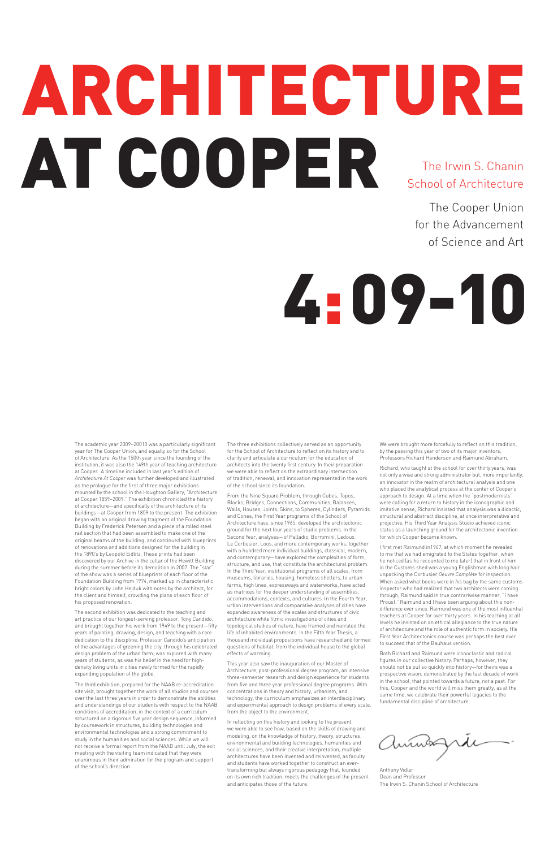**4:09-10**

# **ARCHITECTURE AT COOPER** The Irwin S. Chanin School of Architecture

The Cooper Union for the Advancement of Science and Art

The academic year 2009–20010 was a particularly significant year for The Cooper Union, and equally so for the School of Architecture. As the 150th year since the founding of the institution, it was also the 149th year of teaching architecture at Cooper. A timeline included in last year's edition of *Architecture At Cooper* was further developed and illustrated as the prologue for the first of three major exhibitions mounted by the school in the Houghton Gallery, "Architecture at Cooper 1859–2009." The exhibition chronicled the history of architecture—and specifically of the architecture of its buildings—at Cooper from 1859 to the present. The exhibition began with an original drawing fragment of the Foundation Building by Frederick Petersen and a piece of a rolled steel rail section that had been assembled to make one of the original beams of the building, and continued with blueprints of renovations and additions designed for the building in the 1890's by Leopold Eidlitz. These prints had been discovered by our Archive in the cellar of the Hewitt Building during the summer before its demolition in 2007. The "star" of the show was a series of blueprints of each floor of the Foundation Building from 1974, marked up in characteristic bright colors by John Hejduk with notes by the architect, for the client and himself, crowding the plans of each floor of his proposed renovation.

The second exhibition was dedicated to the teaching and art practice of our longest-serving professor, Tony Candido,

and brought together his work from 1949 to the present—fifty years of painting, drawing, design, and teaching with a rare dedication to the discipline. Professor Candido's anticipation of the advantages of greening the city, through his celebrated design problem of the urban farm, was explored with many years of students, as was his belief in the need for highdensity living units in cities newly formed for the rapidly expanding population of the globe.

The third exhibition, prepared for the NAAB re-accreditation site visit, brought together the work of all studios and courses over the last three years in order to demonstrate the abilities and understandings of our students with respect to the NAAB conditions of accreditation, in the context of a curriculum structured on a rigorous five year design sequence, informed by coursework in structures, building technologies and environmental technologies and a strong commitment to study in the humanities and social sciences. While we will not receive a formal report from the NAAB until July, the exit meeting with the visiting team indicated that they were unanimous in their admiration for the program and support of the school's direction.

The three exhibitions collectively served as an opportunity for the School of Architecture to reflect on its history and to clarify and articulate a curriculum for the education of architects into the twenty first century. In their preparation we were able to reflect on the extraordinary intersection of tradition, renewal, and innovation represented in the work of the school since its foundation.

From the Nine Square Problem, through Cubes, Topos, Blocks, Bridges, Connections, Communities, Balances, Walls, Houses, Joints, Skins, to Spheres, Cylinders, Pyramids and Cones, the First Year programs of the School of Architecture have, since 1965, developed the architectonic ground for the next four years of studio problems. In the Second Year, analyses—of Palladio, Borromini, Ledoux, Le Corbusier, Loos, and more contemporary works, together with a hundred more individual buildings, classical, modern, and contemporary—have explored the complexities of form, structure, and use, that constitute the architectural problem. In the Third Year, institutional programs of all scales, from museums, libraries, housing, homeless shelters, to urban farms, high lines, expressways and waterworks, have acted as matrices for the deeper understanding of assemblies, accommodations, contexts, and cultures. In the Fourth Year, urban interventions and comparative analyses of cities have expanded awareness of the scales and structures of civic architecture while filmic investigations of cities and topological studies of nature, have framed and narrated the life of inhabited environments. In the Fifth Year Thesis, a thousand individual propositions have researched and formed questions of habitat, from the individual house to the global effects of warming.

This year also saw the inauguration of our Master of Architecture, post-professional degree program, an intensive three-semester research and design experience for students from five and three year professional degree programs. With concentrations in theory and history, urbanism, and technology, the curriculum emphasizes an interdisciplinary and experimental approach to design problems of every scale, from the object to the environment.

In reflecting on this history and looking to the present, we were able to see how, based on the skills of drawing and modeling, on the knowledge of history, theory, structures, environmental and building technologies, humanities and social sciences, and their creative interpretation, multiple architectures have been invented and reinvented, as faculty and students have worked together to construct an evertransforming but always rigorous pedagogy that, founded on its own rich tradition, meets the challenges of the present and anticipates those of the future.

We were brought more forcefully to reflect on this tradition, by the passing this year of two of its major inventors, Professors Richard Henderson and Raimund Abraham.

Richard, who taught at the school for over thirty years, was not only a wise and strong administrator but, more importantly, an innovator in the realm of architectural analysis and one who placed the analytical process at the center of Cooper's approach to design. At a time when the "postmodernists" were calling for a return to history in the iconographic and imitative sense, Richard insisted that analysis was a didactic, structural and abstract discipline, at once interpretative and projective. His Third Year Analysis Studio achieved iconic status as a launching ground for the architectonic invention for which Cooper became known.

I first met Raimund in1967, at which moment he revealed to me that we had emigrated to the States together, when he noticed (as he recounted to me later) that in front of him in the Customs shed was a young Englishman with long hair unpacking the Corbusier *Oeuvre Complète* for inspection. When asked what books were in *his* bag by the same customs inspector who had realized that two architects were coming through, Raimund said in true contrariwise manner, "I have Proust." Raimund and I have been arguing about this nondifference ever since. Raimund was one of the most influential teachers at Cooper for over thirty years. In his teaching at all levels he insisted on an ethical allegiance to the true of architecture and the role of authentic form in society. His First Year Architectonics course was perhaps the best ever to succeed that of the Bauhaus version.

Both Richard and Raimund were iconoclastic and radical figures in our collective history. Perhaps, however, they should not be put so quickly into history—for theirs was a prospective vision, demonstrated by the last decade of work in the school, that pointed towards a future, not a past. For this, Cooper and the world will miss them greatly, as at the same time, we celebrate their powerful legacies to the fundamental discipline of architecture.

inszyrdi

Anthony Vidler Dean and Professor The Irwin S. Chanin School of Architecture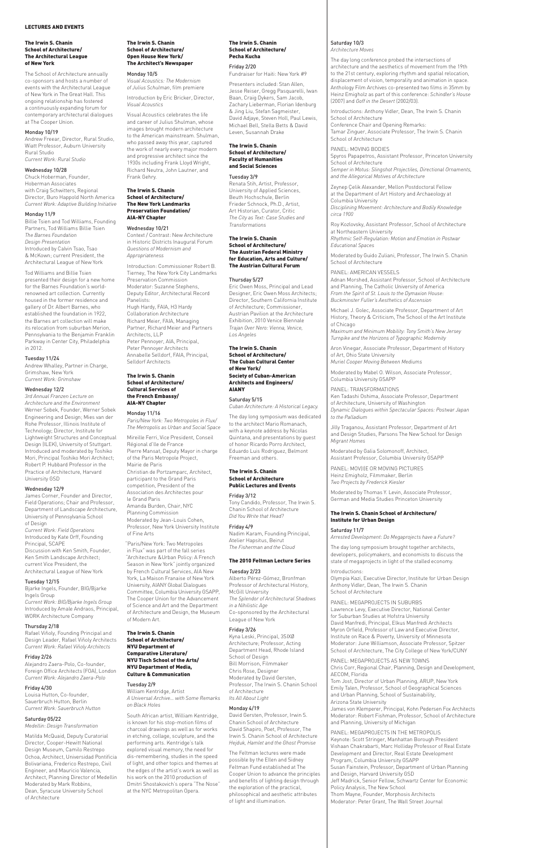# **The Irwin S. Chanin School of Architecture/ The Architectural League of New York**

The School of Architecture annually co-sponsors and hosts a number of events with the Architectural League of New York in The Great Hall. This ongoing relationship has fostered a continuously expanding forum for contemporary architectural dialogues at The Cooper Union.

# Monday 10/19

Andrew Freear, Director, Rural Studio, Wiatt Professor, Auburn University Rural Studio *Current Work: Rural Studio*

#### Wednesday 10/28

Chuck Hoberman, Founder, Hoberman Associates with Craig Schwitters, Regional Director, Buro Happold North America *Current Work: Adaptive Building Initiative*

# Monday 11/9

Billie Tsien and Tod Williams, Founding Partners, Tod Williams Billie Tsien *The Barnes Foundation Design Presentation* Introduced by Calvin Tsao, Tsao & McKown; current President, the Architectural League of New York

Tod Williams and Billie Tsien presented their design for a new home for the Barnes Foundation's worldrenowned art collection. Currently housed in the former residence and gallery of Dr. Albert Barnes, who established the foundation in 1922, the Barnes art collection will make its relocation from suburban Merion, Pennsylvania to the Benjamin Franklin Parkway in Center City, Philadelphia in 2012.

#### Tuesday 11/24

Andrew Whalley, Partner in Charge, Grimshaw, New York *Current Work: Grimshaw*

# Wednesday 12/2

*3rd Annual Franzen Lecture on Architecture and the Environment* Werner Sobek, Founder, Werner Sobek Engineering and Design; Mies van der Rohe Professor, Illinois Institute of Technology; Director, Institute for Lightweight Structures and Conceptual Design (ILEK), University of Stuttgart. Introduced and moderated by Toshiko Mori, Principal Toshiko Mori Architect; Robert P. Hubbard Professor in the Practice of Architecture, Harvard University GSD

#### Wednesday 12/9

James Corner, Founder and Director, Field Operations; Chair and Professor, Department of Landscape Architecture, University of Pennsylvania School of Design *Current Work: Field Operations* Introduced by Kate Orff, Founding Principal, SCAPE Discussion with Ken Smith, Founder, Ken Smith Landscape Architect; current Vice President, the Architectural League of New York

#### Tuesday 12/15

Bjarke Ingels, Founder, BIG/Bjarke Ingels Group *Current Work: BIG/Bjarke Ingels Group* Introduced by Amale Andraos, Principal, WORK Architecture Company

# Thursday 2/18

Rafael Viñoly, Founding Principal and Design Leader, Rafael Viñoly Architects *Current Work: Rafael Viñoly Architects*

# Friday 2/26

Alejandro Zaera-Polo, Co-founder, Foreign Office Architects (FOA), London *Current Work: Alejandro Zaera-Polo*

# Friday 4/30

Louisa Hutton, Co-founder, Sauerbruch Hutton, Berlin *Current Work: Sauerbruch Hutton*

# Saturday 05/22

*Medellin: Design Transformation*

Matilda McQuaid, Deputy Curatorial Director, Cooper-Hewitt National Design Museum, Camilo Restrepo Ochoa, Architect, Universidad Pontificia Bolivariana, Frederico Restrepo, Civil Engineer, and Mauricio Valencia, Architect, Planning Director of Medellin Moderated by Mark Robbins, Dean, Syracuse University School of Architecture

# **The Irwin S. Chanin School of Architecture/ Open House New York/ The Architect's Newspaper**

Monday 10/5 *Visual Acoustics: The Modernism*

*of Julius Schulman*, film premiere Introduction by Eric Bricker, Director,

*Visual Acoustics*

Visual Acoustics celebrates the life and career of Julius Shulman, whose images brought modern architecture to the American mainstream. Shulman, who passed away this year, captured the work of nearly every major modern and progressive architect since the 1930s including Frank Lloyd Wright, Richard Neutra, John Lautner, and Frank Gehry.

# **The Irwin S. Chanin School of Architecture/ The New York Landmarks Preservation Foundation/ AIA-NY Chapter**

Wednesday 10/21 Context / Contrast: New Architecture in Historic Districts Inaugural Forum *Questions of Modernism and Appropriateness*

Introduction: Commissioner Robert B. Tierney, The New York City Landmarks Preservation Commission Moderator: Suzanne Stephens, Deputy Editor, Architectural Record Panelists: Hugh Hardy, FAIA, H3 Hardy Collaboration Architecture Richard Meier, FAIA, Managing Partner, Richard Meier and Partners Architects, LLP Peter Pennoyer, AIA, Principal, Peter Pennoyer Architects Annabelle Selldorf, FAIA, Principal, Selldorf Architects

# **The Irwin S. Chanin School of Architecture/ Cultural Services of the French Embassy/ AIA-NY Chapter**

#### Monday 11/16 *Paris/New York: Two Metropoles in Flux/*

*The Metropolis as Urban and Social Space*

Mireille Ferri, Vice President, Conseil Régional d'lle de France Pierre Mansat, Deputy Mayor in charge of the Paris Metropole Project, Mairie de Paris Christian de Portzamparc, Architect, participant to the Grand Paris competition, President of the Association des Architectes pour le Grand Paris Amanda Burden, Chair, NYC Planning Commission Moderated by Jean-Louis Cohen, Professor, New York University Institute of Fine Arts

"Paris/New York: Two Metropoles in Flux" was part of the fall series "Architecture &Urban Policy: A French Season in New York" jointly organized by French Cultural Services, AIA New York, La Maison Franaise of New York University, AIANY Global Dialogues Committee, Columbia University GSAPP, The Cooper Union for the Advancement of Science and Art and the Department of Architecture and Design, the Museum of Modern Art.

# **The Irwin S. Chanin School of Architecture/ NYU Department of Comparative Literature/ NYU Tisch School of the Arts/ NYU Department of Media, Culture & Communication**

# Tuesday 2/9

William Kentridge, Artist *A Universal Archive… with Some Remarks on Black Holes*

South African artist, William Kentridge, is known for his stop-motion films of charcoal drawings as well as for works in etching, collage, sculpture, and the performing arts. Kentridge's talk explored visual memory, the need for dis-remembering, studies in the speed of light, and other topics and themes at the edges of the artist's work as well as his work on the 2010 production of Dmitri Shostakovich's opera "The Nose" at the NYC Metropolitan Opera.

#### **The Irwin S. Chanin School of Architecture/ Pecha Kucha**

Friday 2/20 Fundraiser for Haiti: New York #9

Presenters included: Stan Allen, Jesse Reiser, Gregg Pasquarelli, Iwan Baan, Craig Dykers, Sam Jacob, Zachary Lieberman, Florian Idenburg & Jing Liu, Stefan Sagmeister, David Adjaye, Steven Holl, Paul Lewis, Michael Bell, Stella Betts & David Leven, Susannah Drake

#### **The Irwin S. Chanin School of Architecture/ Faculty of Humanities and Social Sciences**

#### Tuesday 3/9

Renata Stih, Artist, Professor, University of Applied Sciences, Beuth Hochschule, Berlin Frieder Schnock, Ph.D., Artist, Art Historian, Curator, Critic *The City as Text: Case Studies and Transformations*

#### **The Irwin S. Chanin School of Architecture/ The Austrian Federal Ministry for Education, Arts and Culture/ The Austrian Cultural Forum**

#### Thursday 5/27

Eric Owen Moss, Principal and Lead Designer, Eric Owen Moss Architects; Director, Southern California Institute of Architecture; Commissioner, Austrian Pavilion at the Architecture Exhibition, 2010 Venice Biennale *Trajan Over Nero: Vienna, Venice, Los Angeles*

#### **The Irwin S. Chanin School of Architecture/ The Cuban Cultural Center of New York/ Society of Cuban-American Architects and Engineers/ AIANY**

Saturday 5/15 *Cuban Architecture: A Historical Legacy.*

The day long symposium was dedicated to the architect Mario Romanach, with a keynote address by Nicolas Quintana, and presentations by guest of honor Ricardo Porro Architect, Eduardo Luis Rodriguez, Belmont Freeman and others.

#### **The Irwin S. Chanin School of Architecture Public Lectures and Events**

#### Friday 3/12

Tony Candido, Professor, The Irwin S. Chanin School of Architecture *Did You Write that Head?*

Friday 4/9 Nadim Karam, Founding Principal, Atelier Hapsitus, Beirut *The Fisherman and the Cloud*

# **The 2010 Feltman Lecture Series**

# Tuesday 2/23

Alberto Pérez-Gómez, Bronfman Professor of Architectural History, McGill University *The Splendor of Architectural Shadows in a Nihilistic Age* Co-sponsored by the Architectural League of New York

#### Friday 3/26

Kyna Leski, Principal, 3SIXØ Architecture; Professor, Acting Department Head, Rhode Island School of Design Bill Morrison, Filmmaker Chris Rose, Designer Moderated by David Gersten, Professor, The Irwin S. Chanin School of Architecture *Its All About Light*

#### Monday 4/19

David Gersten, Professor, Irwin S. Chanin School of Architecture David Shapiro, Poet, Professor, The Irwin S. Chanin School of Architecture *Hejduk, Hamlet and the Ghost Promise*

The Feltman lectures were made possible by the Ellen and Sidney Feltman Fund established at The Cooper Union to advance the principles and benefits of lighting design through the exploration of the practical, philosophical and aesthetic attributes of light and illumination.

Saturday 10/3 *Architecture Moves*

The day long conference probed the intersections of architecture and the aesthetics of movement from the 19th to the 21st century, exploring rhythm and spatial relocation, displacement of vision, temporality and animation in space. Anthology Film Archives co-presented two films in 35mm by Heinz Emigholz as part of this conference: *Schindler's House* (2007) and *Goff in the Desert* (2002/03).

Introductions: Anthony Vidler, Dean, The Irwin S. Chanin School of Architecture Conference Chair and Opening Remarks: Tamar Zinguer, Associate Professor, The Irwin S. Chanin School of Architecture

PANEL: MOVING BODIES Spyros Papapetros, Assistant Professor, Princeton University School of Architecture *Semper in Motus: Slingshot Projectiles, Directional Ornaments, and the Allegorical Motives of Architecture*

Zeynep Çelik Alexander, Mellon Postdoctoral Fellow at the Department of Art History and Archaeology at Columbia University *Disciplining Movement: Architecture and Bodily Knowledge circa 1900*

Roy Kozlovsky, Assistant Professor, School of Architecture at Northeastern University *Rhythmic Self-Regulation: Motion and Emotion in Postwar Educational Spaces*

Moderated by Guido Zuliani, Professor, The Irwin S. Chanin School of Architecture

PANEL: AMERICAN VESSELS Adnan Morshed, Assistant Professor, School of Architecture and Planning, The Catholic University of America *From the Spirit of St. Louis to the Dymaxion House: Buckminster Fuller's Aesthetics of Ascension*

Michael J. Golec, Associate Professor, Department of Art History, Theory & Criticism, The School of the Art Institute of Chicago

*Maximum and Minimum Mobility: Tony Smith's New Jersey Turnpike and the Horizons of Typographic Modernity*

Aron Vinegar, Associate Professor, Department of History of Art, Ohio State University *Muriel Cooper Moving Between Mediums*

Moderated by Mabel O. Wilson, Associate Professor, Columbia University GSAPP

PANEL: TRANSFORMATIONS Ken Tadashi Oshima, Associate Professor, Department of Architecture, University of Washington *Dynamic Dialogues within Spectacular Spaces: Postwar Japan to the Palladium*

Jilly Traganou, Assistant Professor, Department of Art and Design Studies, Parsons The New School for Design *Migrant Homes*

Moderated by Galia Solomonoff, Architect, Assistant Professor, Columbia University GSAPP

PANEL: MOV(I)E OR MOVING PICTURES Heinz Emigholz, Filmmaker, Berlin *Two Projects by Frederick Kiesler*

Moderated by Thomas Y. Levin, Associate Professor, German and Media Studies Princeton University

# **The Irwin S. Chanin School of Architecture/ Institute for Urban Design**

#### Saturday 11/7

*Arrested Development: Do Megaprojects have a Future?*

The day long symposium brought together architects, developers, policymakers, and economists to discuss the state of megaprojects in light of the stalled economy.

Introductions:

Olympia Kazi, Executive Director, Institute for Urban Design Anthony Vidler, Dean, The Irwin S. Chanin School of Architecture

PANEL: MEGAPROJECTS IN SUBURBS Lawrence Levy, Executive Director, National Center for Suburban Studies at Hofstra University id Manfredi, Principal, Elkus Manfredi Arcl Myron Orfield, Professor of Law and Executive Director, Institute on Race & Poverty, University of Minnesota Moderator: June Williamson, Associate Professor, Spitzer School of Architecture, The City College of New York/CUNY

# PANEL: MEGAPROJECTS AS NEW TOWNS Chris Corr, Regional Chair, Planning, Design and Development, AECOM, Florida

Tom Jost, Director of Urban Planning, ARUP, New York Emily Talen, Professor, School of Geographical Sciences and Urban Planning, School of Sustainability,

Arizona State University James von Klemperer, Principal, Kohn Pedersen Fox Architects Moderator: Robert Fishman, Professor, School of Architecture

and Planning, University of Michigan

PANEL: MEGAPROJECTS IN THE METROPOLIS Keynote: Scott Stringer, Manhattan Borough President Vishaan Chakrabarti, Marc Holliday Professor of Real Estate Development and Director, Real Estate Development Program, Columbia University GSAPP Susan Fainstein, Professor, Department of Urban Planning and Design, Harvard University GSD Jeff Madrick, Senior Fellow, Schwartz Center for Economic Policy Analysis, The New School Thom Mayne, Founder, Morphosis Architects Moderator: Peter Grant, The Wall Street Journal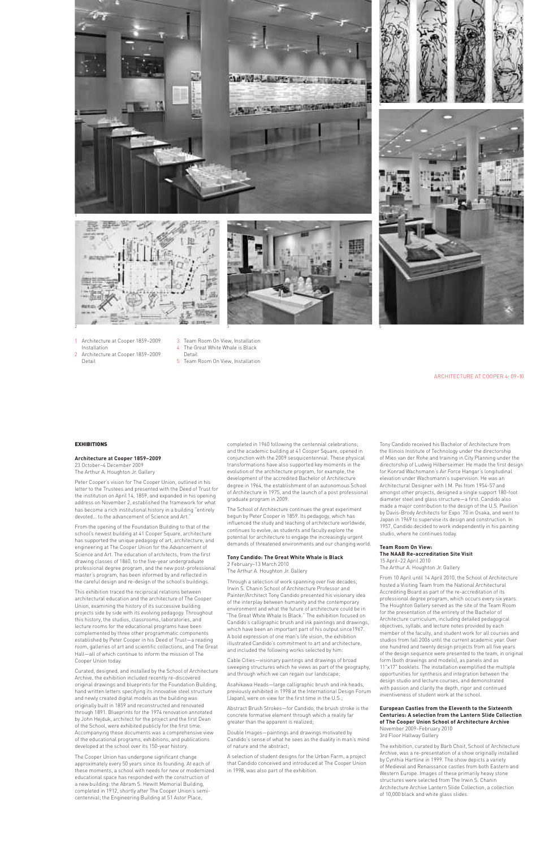#### **EXHIBITIONS**

#### **Architecture at Cooper 1859–2009**

Peter Cooper's vision for The Cooper Union, outlined in his letter to the Trustees and presented with the Deed of Trust for the institution on April 14, 1859, and expanded in his opening address on November 2, established the framework for what has become a rich institutional history in a building "entirely devoted... to the advancement of Science and Art.

23 October–4 December 2009 The Arthur A. Houghton Jr. Gallery

From the opening of the Foundation Building to that of the school's newest building at 41 Cooper Square, architecture has supported the unique pedagogy of art, architecture, and engineering at The Cooper Union for the Advancement of Science and Art. The education of architects, from the first drawing classes of 1860, to the five-year undergraduate professional degree program, and the new post-professional master's program, has been informed by and reflected in the careful design and re-design of the school's buildings.

This exhibition traced the reciprocal relations between architectural education and the architecture of The Cooper Union, examining the history of its successive building projects side by side with its evolving pedagogy. Throughout this history, the studios, classrooms, laboratories, and lecture rooms for the educational programs have been complemented by three other programmatic components established by Peter Cooper in his Deed of Trust—a reading room, galleries of art and scientific collections, and The Great Hall—all of which continue to inform the mission of The Cooper Union today.

Curated, designed, and installed by the School of Architecture Archive, the exhibition included recently re-discovered original drawings and blueprints for the Foundation Building, hand written letters specifying its innovative steel structure and newly created digital models as the building was originally built in 1859 and reconstructed and renovated through 1891. Blueprints for the 1974 renovation annotated by John Hejduk, architect for the project and the first Dean of the School, were exhibited publicly for the first time. Accompanying these documents was a comprehensive view of the educational programs, exhibitions, and publications developed at the school over its 150-year history.

The Cooper Union has undergone significant change approximately every 50 years since its founding. At each of these moments, a school with needs for new or modernized educational space has responded with the construction of a new building: the Abram S. Hewitt Memorial Building, completed in 1912, shortly after The Cooper Union's semicentennial; the Engineering Building at 51 Astor Place,

completed in 1960 following the centennial celebrations; and the academic building at 41 Cooper Square, opened in conjunction with the 2009 sesquicentennial. These physical transformations have also supported key moments in the evolution of the architecture program, for example, the development of the accredited Bachelor of Architecture degree in 1964, the establishment of an autonomous School of Architecture in 1975, and the launch of a post professional graduate program in 2009.

The School of Architecture continues the great experiment begun by Peter Cooper in 1859. Its pedagogy, which has influenced the study and teaching of architecture worldwide, continues to evolve, as students and faculty explore the potential for architecture to engage the increasingly urgent demands of threatened environments and our changing world.

# **Tony Candido: The Great White Whale is Black**

2 February–13 March 2010 The Arthur A. Houghton Jr. Gallery

Through a selection of work spanning over five decades, Irwin S. Chanin School of Architecture Professor and Painter/Architect Tony Candido presented his visionary idea of the interplay between humanity and the contemporary environment and what the future of architecture could be in The Great White Whale Is Black." The exhibition focused on Candido's calligraphic brush and ink painting which have been an important part of his output since1967. A bold expression of one man's life vision, the exhibition illustrated Candido's commitment to art and architecture, and included the following works selected by him:

Cable Cities—visionary paintings and drawings of broad sweeping structures which he views as part of the geography, and through which we can regain our landscape;

Asahikawa Heads—large calligraphic brush and ink heads, previously exhibited in 1998 at the International Design Forum (Japan), were on view for the first time in the U.S.;

Abstract Brush Strokes—for Candido, the brush stroke is the concrete formative element through which a reality far greater than the apparent is realized;

Double Images—paintings and drawings motivated by Candido's sense of what he sees as the duality in man's mind of nature and the abstract;

A selection of student designs for the Urban Farm, a project that Candido conceived and introduced at The Cooper Union in 1998, was also part of the exhibition.

Tony Candido received his Bachelor of Architecture from the Illinois Institute of Technology under the directorship of Mies van der Rohe and training in City Planning under the directorship of Ludwig Hilberseimer. He made the first design for Konrad Wachsmann's Air Force Hangar's longitudinal elevation under Wachsmann's supervision. He was an Architectural Designer with I.M. Pei from 1954-57 and amongst other projects, designed a single support 180-foot diameter steel and glass structure—a first. Candido also made a major contribution to the design of the U.S. Pavilion by Davis-Brody Architects for Expo '70 in Osaka, and went to Japan in 1969 to supervise its design and construction. In 1957, Candido decided to work independently in his painting studio, where he continues today.

#### **Team Room On View: The NAAB Re-accreditation Site Visit** 15 April–22 April 2010

The Arthur A. Houghton Jr. Gallery

From 10 April until 14 April 2010, the School of Architecture hosted a Visiting Team from the National Architectural Accrediting Board as part of the re-accreditation of its professional degree program, which occurs every six years. The Houghton Gallery served as the site of the Team Room for the presentation of the entirety of the Bachelor of Architecture curriculum, including detailed pedagogical objectives, syllabi, and lecture notes provided by each member of the faculty, and student work for all courses and studios from fall 2006 until the current academic year. Over one hundred and twenty design projects from all five years of the design sequence were presented to the team, in original form (both drawings and models), as panels and as 11"x17" booklets. The installation exemplified the multiple opportunities for synthesis and integration between the design studio and lecture courses, and demonstrated with passion and clarity the depth, rigor and continued inventiveness of student work at the school.

#### **European Castles from the Eleventh to the Sixteenth Centuries: A selection from the Lantern Slide Collection of The Cooper Union School of Architecture Archive**

November 2009–February 2010 3rd Floor Hallway Gallery

The exhibition, curated by Barb Choit, School of Architecture Archive, was a re-presentation of a show originally installed by Cynthia Hartline in 1999. The show depicts a variety of Medieval and Renaissance castles from both Eastern and Western Europe. Images of these primarily heavy stone structures were selected from The Irwin S. Chanin Architecture Archive Lantern Slide Collection, a collection of 10,000 black and white glass slides.

- 1 Architecture at Cooper 1859–2009 Installation
- 2 Architecture at Cooper 1859–2009 Detail
- 3 Team Room On View, Installation 4 The Great White Whale is Black
- Detail 5 Team Room On View, Installation







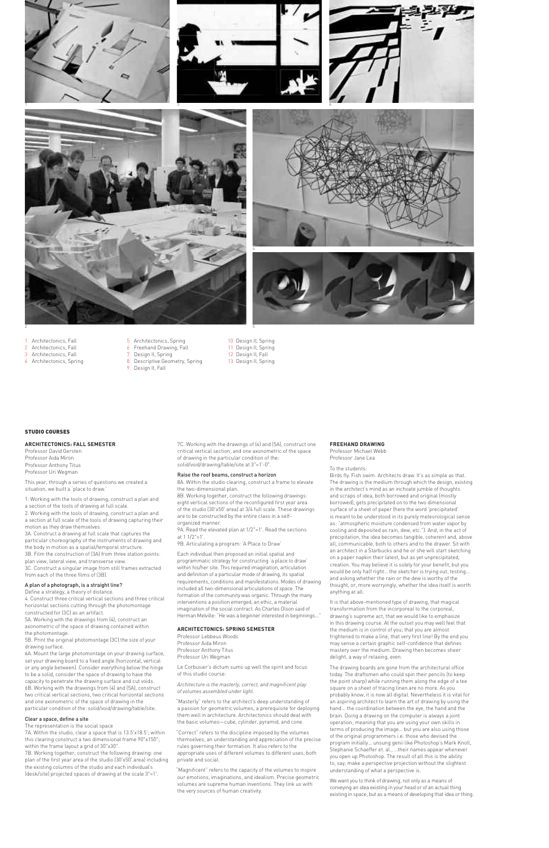#### **ARCHITECTONICS: FALL SEMESTER**

Professor David Gersten Professor Aida Miron Professor Anthony Titus Professor Uri Wegman

This year, through a series of questions we created a situation, we built a 'place to draw.'

1. Working with the tools of drawing, construct a plan and a section of the tools of drawing at full scale.

2. Working with the tools of drawing, construct a plan and a section at full scale of the tools of drawing capturing their

motion as they draw themselves. 3A. Construct a drawing at full scale that captures the particular choreography of the instruments of drawing and the body in motion as a spatial/temporal structure. 3B. Film the construction of (3A) from three station points: plan view, lateral view, and transverse view. 3C. Construct a singular image from still frames extracted from each of the three films of (3B).

#### A plan of a photograph, is a straight line?

Define a strategy, a theory of distance. 4. Construct three critical vertical sections and three critical horizontal sections cutting through the photomontage constructed for (3C) as an artifact.

5A. Working with the drawings from (4), construct an

axonometric of the space of drawing contained within the photomontage.

5B. Print the original photomontage (3C) the size of your drawing surface.

Each individual then proposed an initial spatial and programmatic strategy for constructing 'a place to draw' within his/her site. This required imagination, articulation and definition of a particular mode of drawing, its spatial requirements, conditions and manifestations. Modes of drawing included all two-dimensional articulations of space. The formation of the community was organic. Through the many interventions a position emerged, an ethic, a material imagination of the social contract. As Charles Olson said of Herman Melville: "He was a beginner interested in beginnings...

6A. Mount the large photomontage on your drawing surface, set your drawing board to a fixed angle (horizontal, vertical or any angle between). Consider everything below the hinge to be a solid, consider the space of drawing to have the capacity to penetrate the drawing surface and cut voids. 6B. Working with the drawings from (4) and (5A), construct two critical vertical sections, two critical horizontal sections and one axonometric of the space of drawing in the particular condition of the: solid/void/drawing/table/site.

#### Clear a space, define a site

The representation is the social space

7A. Within the studio, clear a space that is 13.5'x18.5'; within this clearing construct a two dimensional frame 90"x150"; within the frame layout a grid of 30"x30".

7B. Working together, construct the following drawing: one plan of the first year area of the studio (30'x50' area) including the existing columns of the studio and each individual's (desk/site) projected spaces of drawing at the scale 3"=1'.

7C. Working with the drawings of (4) and (5A), construct one critical vertical section, and one axonometric of the space of drawing in the particular condition of the: solid/void/drawing/table/site at 3"=1'-0".

#### Raise the roof beams, construct a horizon

8A. Within the studio clearing, construct a frame to elevate the two-dimensional plan.

8B. Working together, construct the following drawings: eight vertical sections of the reconfigured first year area of the studio (30'x50' area) at 3/4 full scale. These drawings are to be constructed by the entire class in a selforganized manner.

9A. Read the elevated plan at 1/2"=1'. Read the sections at 1 1/2"=1'.

9B. Articulating a program: 'A Place to Draw'

#### **ARCHITECTONICS: SPRING SEMESTER**

Professor Lebbeus Woods Professor Aida Miron Professor Anthony Titus Professor Uri Wegman

Le Corbusier's dictum sums up well the spirit and focus of this studio course:

- Architectonics, Fall
- 2 Architectonics, Fall
- 3 Architectonics, Fall
- 4 Architectonics, Spring
- 5 Architectonics, Spring 6 Freehand Drawing, Fall
- Design II, Spring
- 8 Descriptive Geometry, Spring
- 9 Design II, Fall
- 10 Design II, Spring 11 Design II, Spring
- 12 Design II, Fall
- 13 Design II, Spring

*Architecture is the masterly, correct, and magnificent play of volumes assembled under light.*

"Masterly" refers to the architect's deep understanding of a passion for geometric volumes, a prerequisite for deploying them well in architecture. Architectonics should deal with the basic volumes—cube, cylinder, pyramid, and cone.

"Correct" refers to the discipline imposed by the volumes themselves, an understanding and appreciation of the precise rules governing their formation. It also refers to the appropriate uses of different volumes to different uses, both private and social.

"Magnificent" refers to the capacity of the volumes to inspire our emotions, imaginations, and idealism. Precise geometric volumes are supreme human inventions. They link us with the very sources of human creativity.

#### **FREEHAND DRAWING**

Professor Michael Webb Professor Jane Lea

To the students:

Birds fly. Fish swim. Architects draw. It's as simple as that. The drawing is the medium through which the design, existing in the architect's mind as an inchoate jumble of thoughts and scraps of idea, both borrowed and original (mostly borrowed), gets precipitated on to the two dimensional surface of a sheet of paper (here the word 'precipitated' is meant to be understood in its purely meteorological sense as: "atmospheric moisture condensed from water vapor by cooling and deposited as rain, dew, etc."). And, in the act of precipitation, the idea becomes tangible, coherent and, above all, communicable, both to others and to the drawer. Sit with an architect in a Starbucks and he or she will start sketching on a paper napkin their latest, but as yet unprecipitated, creation. You may believe it is solely for your benefit, but you would be only half right… the sketcher is trying out, testing… and asking whether the rain or the dew is worthy of the thought, or, more worryingly, whether the idea itself is worth anything at all.

It is that above-mentioned type of drawing, that magical transformation from the incorporeal to the corporeal, drawing's supreme act, that we would like to emphasize in this drawing course. At the outset you may well feel tha the medium is in control of you; that you are almost frightened to make a line, that very first line! By the end you may sense a certain graphic self-confidence that defines mastery over the medium. Drawing then becomes sheer delight, a way of relaxing, even.

The drawing boards are gone from the architectural office today. The draftsmen who could spin their pencils (to keep the point sharp) while running them along the edge of a tee square on a sheet of tracing linen are no more. As you probably know, it is now all digital. Nevertheless it is vital for an aspiring architect to learn the art of drawing by using the hand… the coordination between the eye, the hand and the brain. Doing a drawing on the computer is always a joint operation; meaning that you are using your own skills in terms of producing the image… but you are also using those of the original programmers i.e. those who devised the program initially… unsung genii like Photoshop's Mark Knoll, Stephanie Schaeffer et. al., …their names appear whenever you open up Photoshop. The result of all this is the ability to, say, make a perspective projection without the slightest understanding of what a perspective is.

We want you to think of drawing, not only as a means of conveying an idea existing in your head or of an actual thing existing in space, but as a means of developing that idea or thing.

# **STUDIO COURSES**

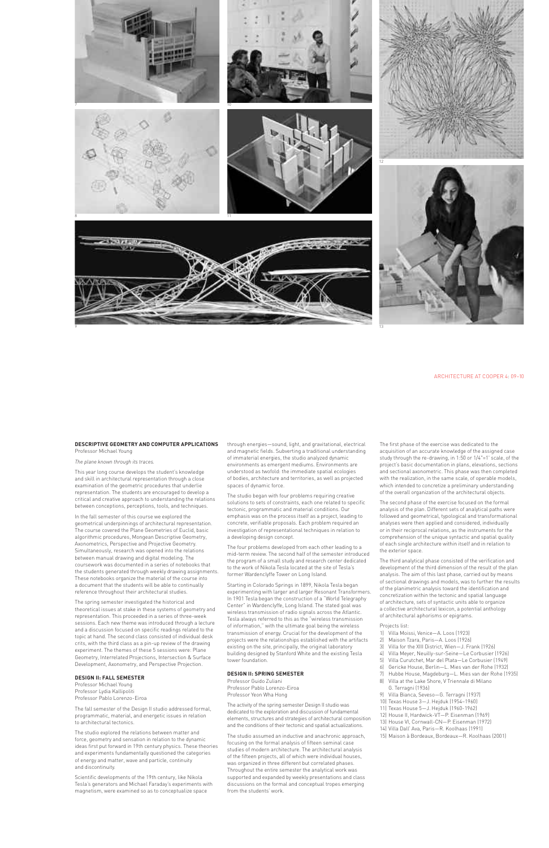#### **DESCRIPTIVE GEOMETRY AND COMPUTER APPLICATIONS** Professor Michael Young

*The plane known through its traces.*

This year long course develops the student's knowledge and skill in architectural representation through a close examination of the geometric procedures that underlie representation. The students are encouraged to develop a critical and creative approach to understanding the relations between conceptions, perceptions, tools, and techniques.

In the fall semester of this course we explored the geometrical underpinnings of architectural representation. The course covered the Plane Geometries of Euclid, basic algorithmic procedures, Mongean Descriptive Geometry, Axonometrics, Perspective and Projective Geometry. Simultaneously, research was opened into the relations between manual drawing and digital modeling. The coursework was documented in a series of notebooks that the students generated through weekly drawing assignments. These notebooks organize the material of the course into a document that the students will be able to continually reference throughout their architectural studies.

The spring semester investigated the historical and theoretical issues at stake in these systems of geometry and representation. This proceeded in a series of three-week ns. Each new theme was introduced through a lecture and a discussion focused on specific readings related to the topic at hand. The second class consisted of individual desk crits, with the third class as a pin-up review of the drawing experiment. The themes of these 5 sessions were: Plane Geometry, Interrelated Projections, Intersection & Surface Development, Axonometry, and Perspective Projection.

# **DESIGN II: FALL SEMESTER**

Professor Michael Young Professor Lydia Kallipoliti Professor Pablo Lorenzo-Eiroa

The fall semester of the Design II studio addressed formal, programmatic, material, and energetic issues in relation to architectural tectonics.

The studio explored the relations between matter and force, geometry and sensation in relation to the dynamic ideas first put forward in 19th century physics. These theories and experiments fundamentally questioned the categories of energy and matter, wave and particle, continuity and discontinuity.

Scientific developments of the 19th century, like Nikola Tesla's generators and Michael Faraday's experiments with magnetism, were examined so as to conceptualize space

through energies—sound, light, and gravitational, electrical and magnetic fields. Subverting a traditional understanding of immaterial energies, the studio analyzed dynamic environments as emergent mediums. Environments are understood as twofold: the immediate spatial ecologies of bodies, architecture and territories, as well as projected spaces of dynamic force.

The studio began with four problems requiring creative solutions to sets of constraints, each one related to specific tectonic, programmatic and material conditions. Our emphasis was on the process itself as a project, leading to concrete, verifiable proposals. Each problem required an investigation of representational techniques in relation to a developing design concept.

The four problems developed from each other leading to a mid-term review. The second half of the semester introduced the program of a small study and research center dedicated to the work of Nikola Tesla located at the site of Tesla's former Wardenclyffe Tower on Long Island.

Starting in Colorado Springs in 1899, Nikola Tesla began experimenting with larger and larger Resonant Transformers. In 1901 Tesla began the construction of a "World Telegraphy Center" in Wardenclyffe, Long Island. The stated goal was wireless transmission of radio signals across the Atlantic. Tesla always referred to this as the "wireless transmission of information," with the ultimate goal being the wireless transmission of energy. Crucial for the development of the projects were the relationships established with the artifacts existing on the site, principally, the original laboratory building designed by Stanford White and the existing Tesla tower foundation.

#### **DESIGN II: SPRING SEMESTER**

Professor Guido Zuliani Professor Pablo Lorenzo-Eiroa Professor Yeon Wha Hong

The activity of the spring semester Design II studio was dedicated to the exploration and discussion of fundamental elements, structures and strategies of architectural composition and the conditions of their tectonic and spatial actualizations.

The studio assumed an inductive and anachronic approach, focusing on the formal analysis of fifteen seminal case studies of modern architecture. The architectural analysis of the fifteen projects, all of which were individual houses, was organized in three different but correlated phases. Throughout the entire semester the analytical work was supported and expanded by weekly presentations and class discussions on the formal and conceptual tropes emerging from the students' work.

The first phase of the exercise was dedicated to the acquisition of an accurate knowledge of the assigned case study through the re-drawing, in 1:50 or 1/4"=1' scale, of the project's basic documentation in plans, elevations, sections and sectional axonometric. This phase was then completed with the realization, in the same scale, of operable models, which intended to concretize a preliminary understanding of the overall organization of the architectural objects.

The second phase of the exercise focused on the formal analysis of the plan. Different sets of analytical paths were followed and geometrical, typological and transformational analyses were then applied and considered, individually or in their reciprocal relations, as the instruments for the comprehension of the unique syntactic and spatial quality of each single architecture within itself and in relation to the exterior space.

The third analytical phase consisted of the verification and development of the third dimension of the result of the plan analysis. The aim of this last phase, carried out by means of sectional drawings and models, was to further the results of the planimetric analysis toward the identification and concretization within the tectonic and spatial language of architecture, sets of syntactic units able to organize a collective architectural lexicon, a potential anthology of architectural aphorisms or epigrams.

Projects list:

1) Villa Moissi, Venice—A. Loos (1923)

- 2) Maison Tzara, Paris—A. Loos (1926)
- 3) Villa for the XIII District, Wien—J. Frank (1926)
- 4) Villa Meyer, Neuilly-sur-Seine—Le Corbusier (1926)
- 5) Villa Curutchet, Mar del Plata—Le Corbusier (1949)
- 6) Gericke House, Berlin—L. Mies van der Rohe (1932)
- 7) Hubbe House, Magdeburg—L. Mies van der Rohe (1935)
- 8) Villa at the Lake Shore, V Triennale di Milano G. Terragni (1936)
- 9) Villa Bianca, Seveso—G. Terragni (1937)
- 10) Texas House 3—J. Hejduk (1954–1960)
- 11) Texas House 5—J. Hejduk (1960-1962)
- 12) House II, Hardwick-VT—P. Eisenman (1969)
- 13) House VI, Cornwall-CN—P. Eisenman (1972)
- 14) Villa Dall' Ava, Paris—R. Koolhaas (1991)
- 15) Maison à Bordeaux, Bordeaux—R. Koolhaas (2001)

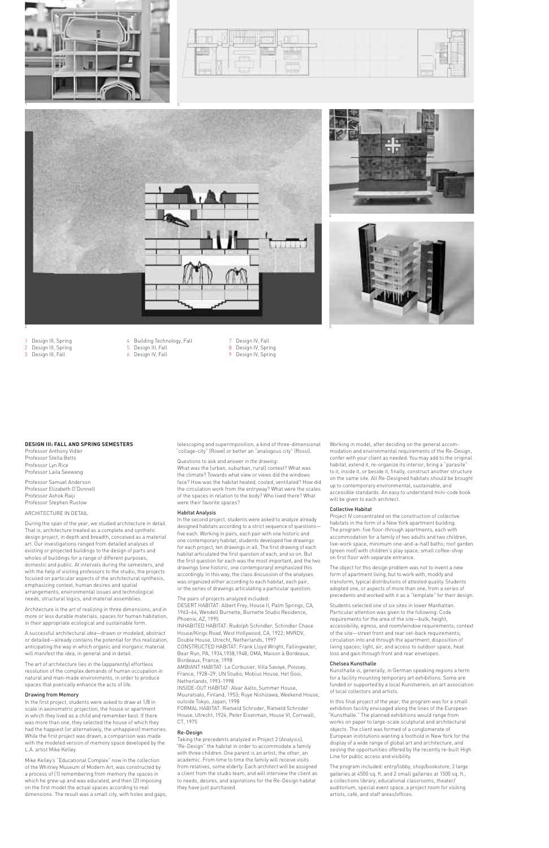# **DESIGN III: FALL AND SPRING SEMESTERS**

Professor Anthony Vidler Professor Stella Betts Professor Lyn Rice Professor Laila Seewang

Professor Samuel Anderson Professor Elizabeth O'Donnell Professor Ashok Raiji Professor Stephen Rustow

#### ARCHITECTURE IN DETAIL

During the span of the year, we studied architecture in detail. That is, architecture treated as a complete and synthetic design project, in depth and breadth, conceived as a material art. Our investigations ranged from detailed analyses of existing or projected buildings to the design of parts and wholes of buildings for a range of different purposes, domestic and public. At intervals during the semesters, and with the help of visiting professors to the studio, the projects focused on particular aspects of the architectural synthesis, emphasizing context, human desires and spatial arrangements, environmental issues and technological needs, structural logics, and material assemblies.

Architecture is the *art* of realizing in three dimensions, and in more or less durable materials, spaces for human habitation, in their appropriate ecological and sustainable form.

A successful architectural *idea*—drawn or modeled, abstract or detailed—already contains the potential for this realization, anticipating the way in which organic and inorganic material will manifest the idea, in general and in detail.

The art of architecture lies in the (apparently) effortless resolution of the complex demands of human occupation in natural and man-made environments, in order to produce spaces that poetically enhance the acts of life.

#### Drawing from Memory

In the first project, students were asked to draw at 1/8 in scale in axonometric projection, the house or apartment in which they lived as a child and remember best. If there was more than one, they selected the house of which they had the happiest (or alternatively, the unhappiest) memories. While the first project was drawn, a comparison was made with the modeled version of memory space developed by the L.A. artist Mike Kelley.

Taking the precedents analyzed in Project 2 (Analysis), "Re-Design" the habitat in order to accommodate a family with three children. One parent is an artist, the other, an academic. From time to time the family will receive visits from relatives, some elderly. Each architect will be assigned a client from the studio team, and will interview the client as to needs, desires, and aspirations for the Re-Design habitat they have just purchased.

Mike Kelley's "Educational Complex" now in the collection of the Whitney Museum of Modern Art, was constructed by a process of (1) remembering from memory the spaces in which he grew up and was educated, and then (2) imposing on the first model the actual spaces according to real dimensions. The result was a small city, with holes and gaps, telescoping and superimposition, a kind of three-dimensional "collage-city" (Rowe) or better an "analogous city" (Rossi).

Questions to ask and *answer in the drawing*: What was the (urban, suburban, rural) context? What was the climate? Towards what view or views did the windows face? How was the habitat heated, cooled, ventilated? How did the circulation work from the entryway? What were the scales of the spaces in relation to the body? Who lived there? What were their favorite spaces?

#### Habitat Analysis

In the second project, students were asked to analyze already designed habitats according to a strict sequence of questions five each. Working in pairs, each pair with one historic and one contemporary habitat, students developed five drawings for each project, ten drawings in all. The first drawing of each habitat articulated the first question of each, and so on. But the first question for each was the most important, and the two drawings (one historic, one contemporary) emphasized this accordingly. In this way, the class discussion of the analyses was organized either according to each habitat, each pair, or the series of drawings articulating a particular question.

The pairs of projects analyzed included: DESERT HABITAT: Albert Frey, House II, Palm Springs, CA, 1963–64; Wendell Burnette, Burnette Studio Residence, Phoenix, AZ, 1995

INHABITED HABITAT: Rudolph Schindler, Schindler Chase House/Kings Road, West Hollywood, CA, 1922; MVRDV, Double House, Utrecht, Netherlands, 1997 CONSTRUCTED HABITAT: Frank Lloyd Wright, Fallingwater, Bear Run, PA, 1934,1938,1948; OMA, Maison à Bordeaux, Bordeaux, France, 1998

AMBIANT HABITAT: Le Corbusier, Villa Savoye, Poissey, France, 1928–29; UN Studio, Mobius House, Het Gooi, Netherlands, 1993-1998

INSIDE-OUT HABITAT: Alvar Aalto, Summer House, Muuratsalo, Finland, 1953; Ruye Nishizawa, Weekend House, outside Tokyo, Japan, 1998

FORMAL HABITAT: Rietveld Schroder, Rietveld Schroder House, Utrecht, 1924; Peter Eisenman, House VI, Cornwall, CT, 1975

#### Re-Design

Working in model, after deciding on the general accommodation and environmental requirements of the Re-Design, confer with your client as needed. You may add to the original habitat, extend it, re-organize its interior, bring a "parasite" to it, inside it, or beside it, finally, construct another structure on the same site. All Re-Designed habitats should be brought up to contemporary environmental, sustainable, and accessible standards. An easy to understand mini-code book will be given to each architect.

#### Collective Habitat

Project IV concentrated on the construction of collective habitats in the form of a New York apartment building. The program: five floor-through apartments, each with accommodation for a family of two adults and two children, live-work space, minimum one-and-a-half baths; roof garden (green roof) with children's play space; small coffee-shop on first floor with separate entrance.

The object for this design problem was not to invent a new form of apartment living, but to work with, modify and transform, typical distributions of attested quality. Students adopted one, or aspects of more than one, from a series of precedents and worked with it as a "template" for their design.

Students selected one of six sites in lower Manhattan. Particular attention was given to the following: Code requirements for the area of the site—bulk, height, accessibility, egress, and room/window requirements; context of the site—street front and rear set-back requirements; circulation into and through the apartment; disposition of living spaces; light, air, and access to outdoor space; heat loss and gain through front and rear envelopes.

#### Chelsea Kunsthalle

Kunsthalle is, generally, in German speaking regions a term for a facility mounting temporary art exhibitions. Some are funded or supported by a local Kunstverein, an art association of local collectors and artists.

In this final project of the year, the program was for a small exhibition facility envisaged along the lines of the European "Kunsthalle." The planned exhibitions would range from works on paper to large-scale sculptural and architectural objects. The client was formed of a conglomerate of European institutions wanting a foothold in New York for the display of a wide range of global art and architecture, and seizing the opportunities offered by the recently re-built High Line for public access and visibility.

The program included: entry/lobby, shop/bookstore, 2 large galleries at 4500 sq. ft. and 2 small galleries at 1500 sq. ft., a collections library, educational classrooms, theater/ auditorium, special event space, a project room for visiting artists, café, and staff areas/offices.

1 Design III, Spring

- 4 Building Technology, Fall
- 2 Design III, Spring 3 Design III, Fall
- 5 Design III, Fall 6 Design IV, Fall
- 7 Design IV, Fall 8 Design IV, Spring 9 Design IV, Spring









|                | ÷<br>÷ |
|----------------|--------|
| <b>IS</b><br>F |        |
|                |        |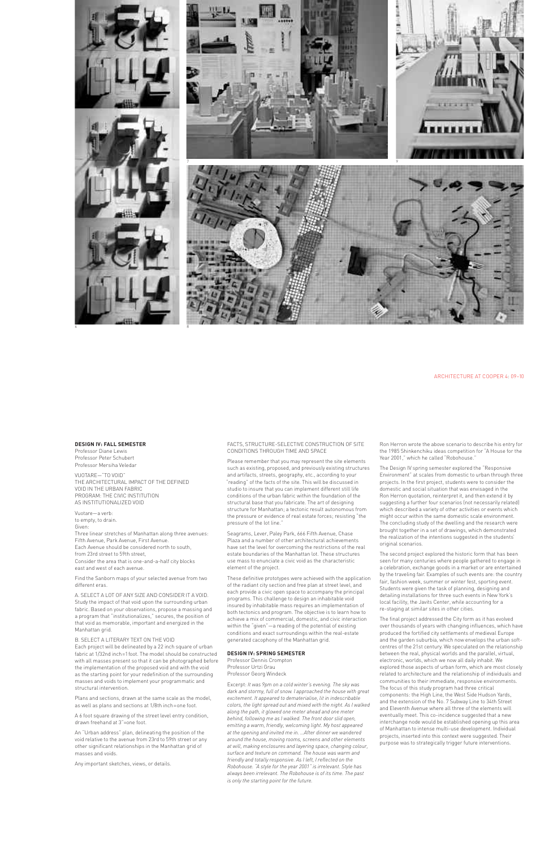#### **DESIGN IV: FALL SEMESTER**

Professor Diane Lewis Professor Peter Schubert Professor Mersiha Veledar

VUOTARE—"TO VOID" THE ARCHITECTURAL IMPACT OF THE DEFINED VOID IN THE URBAN FABRIC PROGRAM: THE CIVIC INSTITUTION AS INSTITUTIONALIZED VOID

Vuotare—a verb: to empty, to drain. Given: Three linear stretches of Manhattan along three avenues: Fifth Avenue, Park Avenue, First Avenue. Each Avenue should be considered north to south, from 23rd street to 59th street, Consider the area that is one-and-a-half city blocks east and west of each avenue.

Find the Sanborn maps of your selected avenue from two different eras.

A. SELECT A LOT OF ANY SIZE AND CONSIDER IT A VOID. Study the impact of that void upon the surrounding urban fabric. Based on your observations, propose a massing and a program that "institutionalizes," secures, the position of at void as memorable, important and energized in the Manhattan grid.

Please remember that you may represent the site elements such as existing, proposed, and previously existing structures and artifacts, streets, geography, etc., according to your "reading" of the facts of the site. This will be discussed in studio to insure that you can implement different still life conditions of the urban fabric within the foundation of the structural base that you fabricate. The art of designing structure for Manhattan; a tectonic result autonomous from the pressure or evidence of real estate forces; resisting "the pressure of the lot line."

#### B. SELECT A LITERARY TEXT ON THE VOID

Each project will be delineated by a 22 inch square of urban fabric at 1/32nd inch=1foot. The model should be constructed with all masses present so that it can be photographed before the implementation of the proposed void and with the void as the starting point for your redefinition of the surrounding masses and voids to implement your programmatic and structural intervention.

Plans and sections, drawn at the same scale as the model, as well as plans and sections at 1/8th inch=one foot.

A 6 foot square drawing of the street level entry condition, drawn freehand at 3"=one foot.

An "Urban address" plan, delineating the position of the void relative to the avenue from 23rd to 59th street or any other significant relationships in the Manhattan grid of masses and voids.

Any important sketches, views, or details.

FACTS, STRUCTURE-SELECTIVE CONSTRUCTION OF SITE CONDITIONS THROUGH TIME AND SPACE

Ron Herron wrote the above scenario to describe his entry for the 1985 Shinkenchiku ideas competition for "A House for the Year 2001," which he called "Robohouse.

Seagrams, Lever, Paley Park, 666 Fifth Avenue, Chase Plaza and a number of other architectural achievements have set the level for overcoming the restrictions of the real estate boundaries of the Manhattan lot. These structures use mass to enunciate a civic void as the characteristic element of the project.

These definitive prototypes were achieved with the application of the radiant city section and free plan at street level, and each provide a civic open space to accompany the principal programs. This challenge to design an inhabitable void insured by inhabitable mass requires an implementation of both tectonics and program. The objective is to learn how to achieve a mix of commercial, domestic, and civic interaction

within the "given"—a reading of the potential of existing conditions and exact surroundings within the real-estate generated cacophony of the Manhattan grid.

#### **DESIGN IV: SPRING SEMESTER**

Professor Dennis Crompton Professor Urtzi Grau Professor Georg Windeck

Excerpt: *It was 9pm on a cold winter's evening. The sky was dark and stormy, full of snow. I approached the house with great excitement. It appeared to dematerialise, lit in indescribable colors, the light spread out and mixed with the night. As I walked along the path, it glowed one meter ahead and one meter behind, following me as I walked. The front door slid open, emitting a warm, friendly, welcoming light. My host appeared at the opening and invited me in. …After dinner we wandered around the house, moving rooms, screens and other elements at will, making enclosures and layering space, changing colour, surface and texture on command. The house was warm and friendly and totally responsive. As I left, I reflected on the Robohouse. "A style for the year 2001" is irrelevant. Style has always been irrelevant. The Robohouse is of its time. The past is only the starting point for the future.*

The Design IV spring semester explored the "Responsive Environment" at scales from domestic to urban through three projects. In the first project, students were to consider the domestic and social situation that was envisaged in the Ron Herron quotation, reinterpret it, and then extend it by suggesting a further four scenarios (not necessarily related) which described a variety of other activities or events which might occur within the same domestic scale environment. The concluding study of the dwelling and the research were brought together in a set of drawings, which demonstrated the realization of the intentions suggested in the students' original scenarios.

The second project explored the historic form that has been seen for many centuries where people gathered to engage in a celebration, exchange goods in a market or are entertained by the traveling fair. Examples of such events are: the country fair, fashion week, summer or winter fest, sporting event. Students were given the task of planning, designing and detailing installations for three such events in New York's local facility, the Javits Center, while accounting for a re-staging at similar sites in other cities.

The final project addressed the City form as it has evolved over thousands of years with changing influences, which have produced the fortified city settlements of medieval Europe and the garden suburbia, which now envelops the urban softcentres of the 21st century. We speculated on the relationship between the real, physical worlds and the parallel, virtual, electronic, worlds, which we now all daily inhabit. We explored those aspects of urban form, which are most closely related to architecture and the relationship of individuals and communities to their immediate, responsive environments. The focus of this study program had three critical components: the High Line, the West Side Hudson Yards, and the extension of the No. 7 Subway Line to 34th Street and Eleventh Avenue where all three of the elements will eventually meet. This co-incidence suggested that a new interchange node would be established opening up this area of Manhattan to intense multi-use development. Individual projects, inserted into this context were suggested. Their purpose was to strategically trigger future interventions.

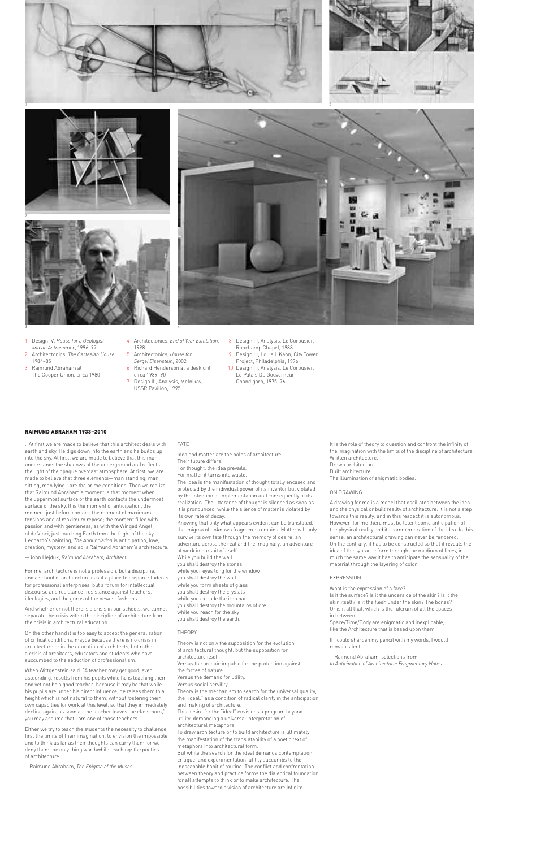…At first we are made to believe that this architect deals with earth and sky. He digs down into the earth and he builds up into the sky. At first, we are made to believe that this man understands the shadows of the underground and reflects the light of the opaque overcast atmosphere. At first, we are made to believe that three elements—man standing, man sitting, man lying—are the prime conditions. Then we realize that Raimund Abraham's moment is that moment when the uppermost surface of the earth contacts the undermost surface of the sky. It is the moment of anticipation, the moment just before contact; the moment of maximum tensions and of maximum repose; the moment filled with passion and with gentleness, as with the Winged Angel of da Vinci, just touching Earth from the flight of the sky. Leonardo's painting, *The Annunciation* is anticipation, love, creation, mystery, and so is Raimund Abraham's architecture.

—John Hejduk, *Raimund Abraham, Architect*

For me, architecture is not a profession, but a discipline, and a school of architecture is not a place to prepare students for professional enterprises, but a forum for intellectual discourse and resistance: resistance against teachers, ideologies, and the gurus of the newest fashions.

And whether or not there is a crisis in our schools, we cannot separate the crisis within the discipline of architecture from the crisis in architectural education.

On the other hand it is too easy to accept the generalization of critical conditions, maybe because there is no crisis in architecture or in the education of architects, but rather a crisis of architects, educators and students who have succumbed to the seduction of professionalism.

When Wittgenstein said: "A teacher may get good, even astounding, results from his pupils while he is teaching them and yet not be a good teacher; because it may be that while his pupils are under his direct influence, he raises them to a height which is not natural to them, without fostering their own capacities for work at this level, so that they immediately decline again, as soon as the teacher leaves the classroom," you may assume that I am one of those teachers.

Either we try to teach the students the necessity to challenge first the limits of their imagination, to envision the impossible and to think as far as their thoughts can carry them, or we deny them the only thing worthwhile teaching: the poetics of architecture.

—Raimund Abraham, *The Enigma of the Muses*

# FATE

Idea and matter are the poles of architecture. Their future differs.

For thought, the idea prevails.

For matter it turns into waste. The idea is the manifestation of thought totally encased and protected by the individual power of its inventor but violated by the intention of implementation and consequently of its realization. The utterance of thought is silenced as soon as it is pronounced, while the silence of matter is violated by its own fate of decay.

> Space/Time like the Architecture that is based upon them.

Knowing that only what appears evident can be translated, the enigma of unknown fragments remains. Matter will only survive its own fate through the memory of desire: an adventure across the real and the imaginary, an adventure of work in pursuit of itself. While you build the wall you shall destroy the stones while your eyes long for the window you shall destroy the wall while you form sheets of glass you shall destroy the crystals while you extrude the iron bar you shall destroy the mountains of ore while you reach for the sky you shall destroy the earth.

THEORY

Theory is not only the supposition for the evolution of architectural thought, but the supposition for architecture itself.

Versus the archaic impulse for the protection against the forces of nature.

Versus the demand for utility.

Versus social servility.

Theory is the mechanism to search for the universal quality, the "ideal," as a condition of radical clarity in the anticipation and making of architecture.

This desire for the "ideal" envisions a program beyond utility, demanding a universal interpretation of architectural metaphors.

To draw architecture or to build architecture is ultimately the manifestation of the translatability of a poetic text of metaphors into architectural form.

But while the search for the ideal demands contemplation, critique, and experimentation, utility succumbs to the inescapable habit of routine. The conflict and confrontation between theory and practice forms the dialectical foundation for all attempts to think or to make architecture. The possibilities toward a vision of architecture are infinite.

It is the role of theory to question and confront the infinity of the imagination with the limits of the discipline of architecture. Written architecture. Drawn architecture. Built architecture. The illumination of enigmatic bodies.

#### ON DRAWING

A drawing for me is a model that oscillates between the idea and the physical or built reality of architecture. It is not a step towards this reality, and in this respect it is autonomous. However, for me there must be latent some anticipation of the physical reality and its commemoration of the idea. In this sense, an architectural drawing can never be rendered. On the contrary, it has to be constructed so that it reveals the idea of the syntactic form through the medium of lines, in much the same way it has to anticipate the sensuality of the material through the layering of color.

# EXPRESSION

What is the expression of a face?

Is it the surface? Is it the underside of the skin? Is it the skin itself? Is it the flesh under the skin? The bones? Or is it all that, which is the fulcrum of all the spaces in between.

If I could sharpen my pencil with my words, I would remain silent.

—Raimund Abraham, selections from *In Anticipation of Architecture: Fragmentary Notes*

- 1 Design IV, *House for a Geologist and an Astronomer*, 1996–97
- 2 Architectonics, *The Cartesian House*, 1984–85
- 3 Raimund Abraham at The Cooper Union, circa 1980
- 4 Architectonics, *End of Year Exhibition*, 1998
- 5 Architectonics, *House for*
- *Sergei Eisenstein*, 2002 6 Richard Henderson at a desk crit, circa 1989–90
- 7 Design III, Analysis, Melnikov, USSR Pavilion, 1995
- 8 Design III, Analysis, Le Corbusier, Ronchamp Chapel, 1988
- 9 Design III, Louis I. Kahn, City Tower Project, Philadelphia, 1996
- 10 Design III, Analysis, Le Corbusier, Le Palais Du Gouverneur Chandigarh, 1975–76





# **RAIMUND ABRAHAM 1933–2010**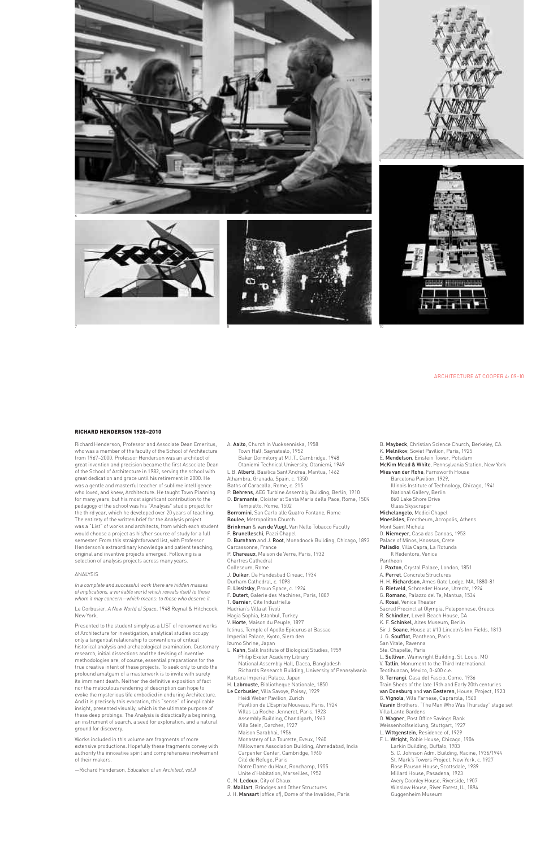Richard Henderson, Professor and Associate Dean Emeritus, who was a member of the faculty of the School of Architecture from 1967–2000. Professor Henderson was an architect of great invention and precision became the first Associate Dean of the School of Architecture in 1982, serving the school with great dedication and grace until his retirement in 2000. He was a gentle and masterful teacher of sublime intelligence who loved, and knew, Architecture. He taught Town Planning for many years, but his most significant contribution to the pedagogy of the school was his "Analysis" studio project for the third year, which he developed over 20 years of teaching. The entirety of the written brief for the Analysis project was a "List" of works and architects, from which each student would choose a project as his/her source of study for a full semester. From this straightforward list, with Professor Henderson's extraordinary knowledge and patient teaching, original and inventive projects emerged. Following is a selection of analysis projects across many years.

#### ANALYSIS

*In a complete and successful work there are hidden masses of implications, a veritable world which reveals itself to those whom it may concern—which means: to those who deserve it.*

Le Corbusier, *A New World of Space*, 1948 Reynal & Hitchcock, New York.

Presented to the student simply as a LIST of renowned works of Architecture for investigation, analytical studies occupy only a tangential relationship to conventions of critical historical analysis and archaeological examination. Customary research, initial dissections and the devising of inventive methodologies are, of course, essential preparations for the true creative intent of these projects. To seek only to undo the profound amalgam of a masterwork is to invite with surety its imminent death. Neither the definitive exposition of fact nor the meticulous rendering of description can hope to evoke the mysterious life embodied in enduring Architecture. And it is precisely this evocation, this "sense" of inexplicable insight, presented visually, which is the ultimate purpose of these deep probings. The Analysis is didactically a beginning, an instrument of search, a seed for exploration, and a natural ground for discovery.

V. Horte, Maison du Peuple Ictinus, Temple of Apollo Epicurus at Bassae Imperial Palace, Kyoto, Siero den Izumo Shrine, Japan L. Kahn, Salk Institute of Biological Studies, 1959 Philip Exeter Academy Library National Assembly Hall, Dacca, Bangladesh Richards Research Building, University of Pennsylvania Katsura Imperial Palace, Japan H. Labrouste, Bibliotheque Nationale, 1850 Le Corbusier, Villa Savoye, Poissy, 1929 Heidi Weber Pavilion, Zurich Pavillion de L'Esprite Nouveau, Paris, 1924 Villas La Roche-Jenneret, Paris, 1923 Assembly Building, Chandigarh, 1963 Villa Stein, Garches, 1927 Maison Sarabhai, 1956 Monastery of La Tourette, Eveux, 1960 Millowners Association Building, Ahmedabad, India Carpenter Center, Cambridge, 1960 Cité de Refuge, Paris Notre Dame du Haut, Ronchamp, 1955 Unite d'Habitation, Marseilles, 1952 C. N. Ledoux, City of Chaux R. Maillart, Brindges and Other Structures

Works included in this volume are fragments of more extensive productions. Hopefully these fragments convey with authority the innovative spirit and comprehensive involvement of their makers.

—Richard Henderson, *Education of an Architect, vol.II*

A. Aalto, Church in Vuoksenniska, 1958 Town Hall, Saynatsalo, 1952 Baker Dormitory at M.I.T., Cambridge, 1948 Otaniemi Technical University, Otaniemi, 1949 L.B. Alberti, Basilica Sant'Andrea, Mantua, 1462 Alhambra, Granada, Spain, c. 1350 Baths of Caracalla, Rome, c. 215 P. Behrens, AEG Turbine Assembly Building, Berlin, 1910 D. Bramante, Cloister at Santa Maria della Pace, Rome, 1504 Tempietto, Rome, 1502 Borromini, San Carlo alle Quatro Fontane, Rome Boulee, Metropolitan Church Brinkman & van de Vlugt, Van Nelle Tobacco Faculty F. Brunelleschi, Pazzi Chapel D. Burnham and J. Root, Monadnock Building, Chicago, 1893 Carcassonne, France P. Chareaux, Maison de Verre, Paris, 1932 Chartres Cathedral Colleseum, Rome J. Duiker, De Handesbad Cineac, 1934 Durham Cathedral, c. 1093 El Lissitsky, Proun Space, c. 1924 F. Dutert, Galerie des Machines, Paris, 1889

K. Melnikov, Soviet Pavilion, Paris, 1925 E. Mendelson, Einstein Tower, Potsdam McKim Mead & White, Pennsylvania Station, New York Mies van der Rohe, Farnsworth House Barcelona Pavilion, 1929, Illinois Institute of Technology, Chicago, 1941 National Gallery, Berlin 860 Lake Shore Drive Glass Skyscraper Michelangelo, Medici Chapel Mnesikles, Erectheum, Acropolis, Athens Mont Saint Michele O. Niemeyer, Casa das Canoas, 1953 Palace of Minos, Knossos, Crete Palladio, Villa Capra, La Rotunda Il Redentore, Venice Pantheon J. Paxton, Crystal Palace, London, 1851 A. Perret, Concrete Structures H. H. Richardson, Ames Gate Lodge, MA, 1880-81 G. Rietveld, Schroeder House, Utrecht, 1924 G. Romano, Palazzo del Te, Mantua, 1534 A. Rossi, Venice Theater Sacred Precinct at Olympia, Peleponnese, Greece R. Schindler, Lovell Beach House, CA E. Schinkel, Altes Museum, Berl Sir J. Soane, House at #13 Lincoln's Inn Fields, 1813 J. G. Soufflot, Pantheon, Paris San Vitale, Ravenna Ste. Chapelle, Paris L. Sullivan, Wainwright Building, St. Louis, MO V. Tatlin, Monument to the Third International Teotihuacan, Mexico, 0-400 c.e. G. Terrangi, Casa del Fascio, Como, 1936 Train Sheds of the late 19th and Early 20th centuries van Doesburg and van Eesteren, House, Project, 1923 G. Vignola, Villa Farnese, Caprarola, 1560 Vesnin Brothers, "The Man Who Was Thursday" stage set Villa Lante Gardens O. Wagner, Post Office Savings Bank Weissenholfseidlung, Stuttgart, 1927 L. Wittgenstein, Residence of, 1929 F. L. Wright, Robie House, Chicago, 1906 Larkin Building, Buffalo, 1903 S. C. Johnson Adm. Building, Racine, 1936/1944 St. Mark's Towers Project, New York, c. 1927 Rose Pauson House, Scottsdale, 1939 Millard House, Pasadena, 1923 Avery Coonley House, Riverside, 1907 Winslow House, River Forest, IL, 1894 Guggenheim Museum

T. Garnier, Cite Industrielle Hadrian's Villa at Tivoli Hagia Sophia, Istanbul, Turkey

J. H. Mansart (office of), Dome of the Invalides, Paris

B. Maybeck, Christian Science Church, Berkeley, CA

#### ARCHITECTURE AT COOPER 4: 09–10









9



#### **RICHARD HENDERSON 1928–2010**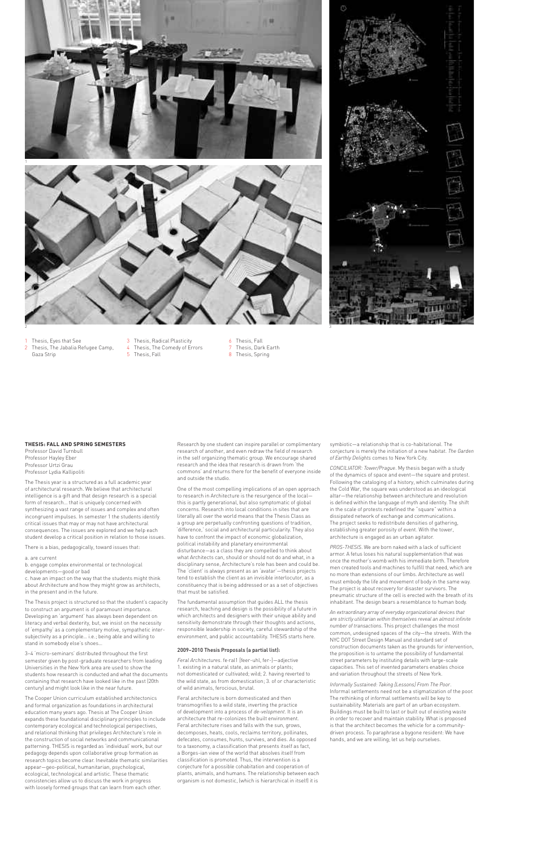# **THESIS: FALL AND SPRING SEMESTERS**

Professor David Turnbull Professor Hayley Eber Professor Urtzi Grau Professor Lydia Kallipoliti

The Thesis year is a structured as a full academic year of architectural research. We believe that architectural intelligence is a gift and that design research is a special form of research… that is uniquely concerned with synthesizing a vast range of issues and complex and often incongruent impulses. In semester 1 the students identify critical issues that may or may not have architectural consequences. The issues are explored and we help each student develop a critical position in relation to those issues.

There is a bias, pedagogically, toward issues that:

#### a. are current

b. engage complex environmental or technological developments—good or bad

c. have an impact on the way that the students might think about Architecture and how they might grow as architects, in the present and in the future.

The Thesis project is structured so that the student's capacity to construct an argument is of paramount importance. Developing an 'argument' has always been dependent on leracy and verbal dexterity, but, we insist on the necessity of 'empathy' as a complementary motive, sympathetic intersubjectivity as a principle… i.e.; being able and willing to stand in somebody else's shoes…

3–4 'micro-seminars' distributed throughout the first semester given by post-graduate researchers from leading Universities in the New York area are used to show the students how research is conducted and what the documents containing that research have looked like in the past (20th century) and might look like in the near future.

The Cooper Union curriculum established architectonics and formal organization as foundations in architectural education many years ago. Thesis at The Cooper Union expands these foundational disciplinary principles to include contemporary ecological and technological perspectives, and relational thinking that privileges Architecture's role in the construction of social networks and communicational patterning. THESIS is regarded as 'individual' work, but our pedagogy depends upon collaborative group formation as research topics become clear. Inevitable thematic similarities appear—geo-political, humanitarian, psychological, ecological, technological and artistic. These thematic consistencies allow us to discuss the work in progress with loosely formed groups that can learn from each other.

Research by one student can inspire parallel or complimentary research of another, and even redraw the field of research in the self organizing thematic group. We encourage shared research and the idea that research is drawn from 'the commons' and returns there for the benefit of everyone inside and outside the studio.

One of the most compelling implications of an open approach to research in Architecture is the resurgence of the local this is partly generational, but also symptomatic of global concerns. Research into local conditions in sites that are literally all over the world means that the Thesis Class as a group are perpetually confronting questions of tradition, 'difference,' social and architectural particularity. They also have to confront the impact of economic globalization, political instability and planetary environmental disturbance—as a class they are compelled to think about what Architects can, should or should not do and what, in a disciplinary sense, Architecture's role has been and could be. The 'client' is always present as an 'avatar'—thesis projects tend to establish the client as an invisible interlocutor, as a constituency that is being addressed or as a set of objectives that must be satisfied.

Thesis, Eyes that See 2 Thesis, The Jabalia Refugee Camp, Gaza Strip

> The fundamental assumption that guides ALL the thesis research, teaching and design is the possibility of a future in which architects and designers with their unique ability and sitivity demonstrate through their thoughts and responsible leadership in society, careful stewardship of the environment, and public accountability. THESIS starts here.

# 2009–2010 Thesis Proposals (a partial list):

*Feral Architectures*. fe·ral1 [feer-uhl, fer-]—adjective 1. existing in a natural state, as animals or plants; not domesticated or cultivated; wild; 2. having reverted to the wild state, as from domestication; 3. of or characteristic of wild animals, ferocious, brutal.

Feral architecture is born domesticated and then transmogrifies to a wild state, inverting the practice of development into a process of *de-velopment*. It is an architecture that re-colonizes the built environment. Feral architecture rises and falls with the sun, grows, decomposes, heats, cools, reclaims territory, pollinates, defecates, consumes, hunts, survives, and dies. As opposed to a taxonomy, a classification that presents itself as fact, a Borges-ian view of the world that absolves itself from classification is promoted. Thus, the intervention is a conjecture for a possible cohabitation and cooperation of plants, animals, and humans. The relationship between each organism is not domestic, (which is hierarchical in itself) it is symbiotic—a relationship that is co-habitational. The conjecture is merely the initiation of a new habitat. *The Garden of Earthly Delights* comes to New York City.

*CONCILIATOR: Tower/Prague*. My thesis began with a study of the dynamics of space and event—the square and protest. Following the cataloging of a history, which culminates during the Cold War, the square was understood as an ideological altar—the relationship between architecture and revolution is defined within the language of myth and identity. The shift in the scale of protests redefined the "square" within a dissipated network of exchange and communications. The project seeks to redistribute densities of gathering, establishing greater porosity of event. With the tower, architecture is engaged as an urban agitator.

*PROS-THESIS*. We are born naked with a lack of sufficient armor. A fetus loses his natural supplementation that was once the mother's womb with his immediate birth. Therefore men created tools and machines to fulfill that need, which are no more than extensions of our limbs. Architecture as well must embody the life and movement of body in the same way. The project is about recovery for disaster survivors. The pneumatic structure of the cell is erected with the breath of its inhabitant. The design bears a resemblance to human body.

*An extraordinary array of everyday organizational devices that are strictly utilitarian within themselves reveal an almost infinite number of transactions*. This project challenges the most common, *un*designed spaces of the city—the streets. With the NYC DOT Street Design Manual and standard set of construction documents taken as the grounds for intervention, the proposition is to *un*tame the possibility of fundamental street parameters by instituting details with large-scale capacities. This set of invented parameters enables choice and variation throughout the streets of New York.

*Informally Sustained: Taking [Lessons] From The Poor*. Informal settlements need not be a stigmatization of the poor. The rethinking of informal settlements will be key to sustainability. Materials are part of an urban ecosystem. Buildings must be built to last or built out of existing waste in order to recover and maintain stability. What is proposed is that the architect becomes the vehicle for a communitydriven process. To paraphrase a bygone resident: We have hands, and we are willing; let us help ourselves.

3 Thesis, Radical Plasticity 4 Thesis, The Comedy of Errors

5 Thesis, Fall

6 Thesis, Fall 7 Thesis, Dark Earth 8 Thesis, Spring





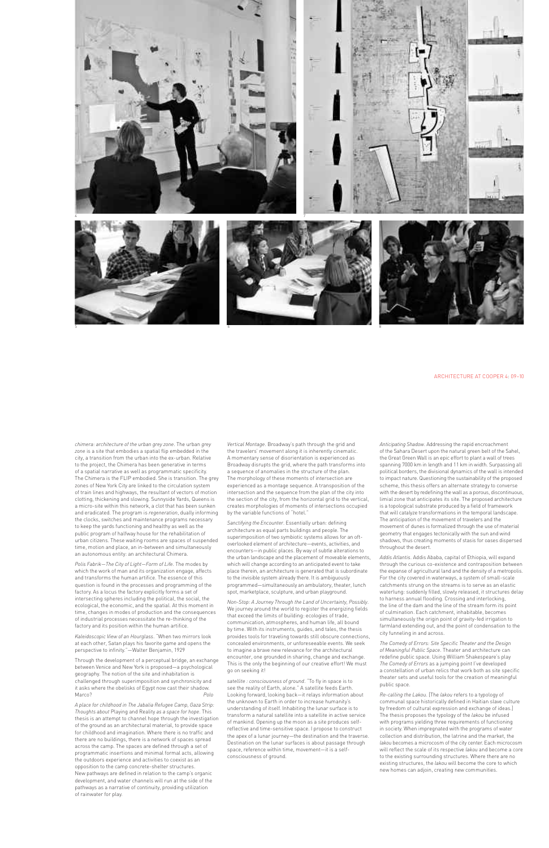*chimera: architecture of the urban grey zone*. The urban *grey zone* is a site that embodies a spatial flip embedded in the city, a transition from the urban into the ex-urban. Relative to the project, the Chimera has been generative in terms of a spatial narrative as well as programmatic specificity. The Chimera is the FLIP embodied. She is transition. The grey zones of New York City are linked to the circulation system of train lines and highways, the resultant of vectors of motion clotting, thickening and slowing. Sunnyside Yards, Queens is a micro-site within this network, a clot that has been sunken and eradicated. The program is *regeneration*, dually informing the clocks, switches and maintenance programs necessary to keep the yards functioning and healthy as well as the public program of halfway house for the rehabilitation of urban citizens. These waiting rooms are spaces of suspended time, motion and place, an in-between and simultaneously an autonomous entity: an architectural Chimera.

*Polis Fabrik—The City of Light—Form of Life*. The modes by which the work of man and its organization engage, affects and transforms the human artifice. The essence of this question is found in the processes and programming of the factory. As a locus the factory explicitly forms a set of intersecting spheres including the political, the social, the ecological, the economic, and the spatial. At this moment in time, changes in modes of production and the consequences of industrial processes necessitate the re-thinking of the

factory and its position within the human artifice.

*Kaleidoscopic View of an Hourglass*. "When two mirrors look at each other, Satan plays his favorite game and opens the perspective to infinity."—Walter Benjamin, 1929

Through the development of a perceptual bridge, an exchange between Venice and New York is proposed—a psychological geography. The notion of the site and inhabitation is challenged through superimposition and synchronicity and it asks where the obelisks of Egypt now cast their shadow. Marco? *Polo*

*A place for childhood in The Jabalia Refugee Camp, Gaza Strip: Thoughts about* Playing and Reality *as a space for hope*. This thesis is an attempt to channel hope through the investigation of the ground as an architectural material, to provide space for childhood and imagination. Where there is no traffic and there are no buildings, there is a network of spaces spread across the camp. The spaces are defined through a set of programmatic insertions and minimal formal acts, allowing the outdoors experience and activities to coexist as an opposition to the camp concrete-shelter structures. New pathways are defined in relation to the camp's organic development, and water channels will run at the side of the pathways as a narrative of continuity, providing utilization of rainwater for play.

*Vertical Montage*. Broadway's path through the grid and the travelers' movement along it is inherently cinematic. A momentary sense of disorientation is experienced as Broadway disrupts the grid, where the path transforms into a sequence of anomalies in the structure of the plan. The morphology of these moments of intersection are experienced as a montage sequence. A transposition of the intersection and the sequence from the plan of the city into the section of the city, from the horizontal grid to the vertical, creates morphologies of moments of intersections occupied by the variable functions of "hotel."

*Sanctifying the Encounter*. Essentially urban: defining architecture as equal parts buildings and people. The superimposition of two symbiotic systems allows for an oftoverlooked element of architecture—events, activities, and encounters—in public places. By way of subtle alterations to the urban landscape and the placement of moveable elements, which will change according to an anticipated event to take place therein, an architecture is generated that is subordinate to the invisible system already there. It is ambiguously programmed—simultaneously an ambulatory, theater, lunch spot, marketplace, sculpture, and urban playground.

*Non-Stop: A Journey Through the Land of Uncertainty, Possibly*. We journey around the world to register the energizing fields that exceed the limits of building: ecologies of trade, mmunication, atmospheres, and human life, all b by time. With its instruments, guides, and tales, the thesis provides tools for traveling towards still obscure connections, concealed environments, or unforeseeable events. We seek to imagine a brave new relevance for the architectural encounter, one grounded in sharing, change and exchange. This is the only the beginning of our creative effort! We must go on seeking it!

*satellite : consciousness of ground*. "To fly in space is to see the reality of Earth, alone." A satellite feeds Earth. Looking forward, looking back—it relays information about the unknown to Earth in order to increase humanity's understanding of itself. Inhabiting the lunar surface is to transform a natural satellite into a satellite in active service of mankind. Opening up the moon as a site produces selfreflective and time-sensitive space. I propose to construct the apex of a lunar journey—the destination and the traverse. Destination on the lunar surfaces is about passage through space, reference within time, movement—it is a selfconsciousness of ground.

*Anticipating Shadow*. Addressing the rapid encroachment of the Sahara Desert upon the natural green belt of the Sahel, the Great Green Wall is an epic effort to plant a wall of trees spanning 7000 km in length and 11 km in width. Surpassing all political borders, the divisional dynamics of the wall is intended to impact nature. Questioning the sustainability of the proposed scheme, this thesis offers an alternate strategy to converse with the desert by redefining the wall as a porous, discontinuous, limial zone that anticipates its site. The proposed architecture is a topological substrate produced by a field of framework that will catalyze transformations in the temporal landscape. The anticipation of the movement of travelers and the movement of dunes is formalized through the use of material geometry that engages tectonically with the sun and wind shadows, thus creating moments of stasis for oases dispersed throughout the desert.

*Addis Atlantis*. Addis Ababa, capital of Ethiopia, will expand through the curious co-existence and contraposition between the expanse of agricultural land and the density of a metropolis. For the city covered in waterways, a system of small-scale catchments strung on the streams is to serve as an elastic waterlung: suddenly filled, slowly released, it structures delay to harness annual flooding. Crossing and interlocking, the line of the dam and the line of the stream form its point of culmination. Each catchment, inhabitable, becomes simultaneously the origin point of gravity-fed irrigation to

farmland extending out, and the point of condensation to the city funneling in and across.

*The Comedy of Errors: Site Specific Theater and the Design of Meaningful Public Space*. Theater and architecture can redefine public space. Using William Shakespeare's play *The Comedy of Errors* as a jumping point I've developed a constellation of urban relics that work both as site specific theater sets and useful tools for the creation of meaningful public space.

*Re-calling the Lakou*. [The *lakou* refers to a typology of communal space historically defined in Haitian slave culture by freedom of cultural expression and exchange of ideas.] The thesis proposes the typology of the *lakou* be infused with programs yielding three requirements of functioning in society. When impregnated with the programs of water collection and distribution, the latrine and the market, the *lakou* becomes a microcosm of the city center. Each microcosm will reflect the scale of its respective *lakou* and become a core to the existing surrounding structures. Where there are no existing structures, the *lakou* will become the core to which new homes can adjoin, creating new communities.

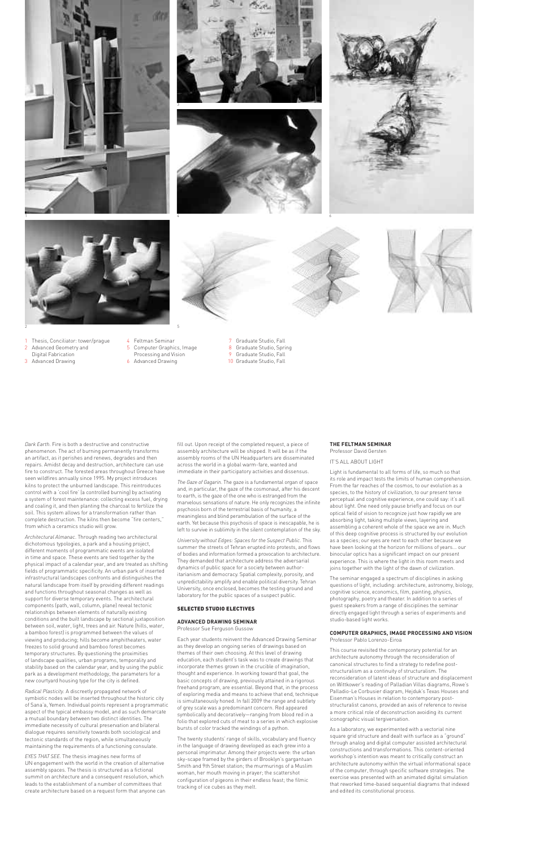*Dark Earth*. Fire is both a destructive and constructive phenomenon. The act of burning permanently transforms an artifact, as it perishes and renews, degrades and then repairs. Amidst decay and destruction, architecture can use fire to construct. The forested areas throughout Greece have seen wildfires annually since 1995. My project introduces kilns to protect the unburned landscape. This reintroduces control with a 'cool fire' (a controlled burning) by activating a system of forest maintenance: collecting excess fuel, drying and coaling it, and then planting the charcoal to fertilize the soil. This system allows for a transformation rather than complete destruction. The kilns then become "fire centers," from which a ceramics studio will grow.

*Architectural Almanac*. Through reading two architectural dichotomous typologies, a park and a housing project, different moments of programmatic events are isolated in time and space. These events are tied together by the physical impact of a calendar year, and are treated as shifting fields of programmatic specificity. An urban park of inserted infrastructural landscapes confronts and distinguishes the natural landscape from itself by providing different readings and functions throughout seasonal changes as well as support for diverse temporary events. The architectural components (path, wall, column, plane) reveal tectonic relationships between elements of naturally existing conditions and the built landscape by sectional juxtaposition between soil, water, light, trees and air. Nature (hills, water, a bamboo forest) is programmed between the values of viewing and producing; hills become amphitheaters, water freezes to solid ground and bamboo forest becomes temporary structures. By questioning the proximities of landscape qualities, urban programs, temporality and stability based on the calendar year, and by using the public park as a development methodology, the parameters for a new courtyard housing type for the city is defined.

*Radical Plasticity*. A discreetly propagated network of symbiotic nodes will be inserted throughout the historic city of Sana'a, Yemen. Individual points represent a programmatic aspect of the typical embassy model, and as such demarcate a mutual boundary between two distinct identities. The immediate necessity of cultural preservation and bilateral dialogue requires sensitivity towards both sociological and tectonic standards of the region, while simultaneously maintaining the requirements of a functioning consulate.

*EYES THAT SEE.* The thesis imagines new forms of UN engagement with the world in the creation of alternative assembly spaces. The thesis is structured as a fictional summit on architecture and a consequent resolution, which leads to the establishment of a number of committees that create architecture based on a request form that anyone can fill out. Upon receipt of the completed request, a piece of assembly architecture will be shipped. It will be as if the assembly rooms of the UN Headquarters are disseminated across the world in a global warm-fare, wanted and immediate in their participatory activities and dissensus.

*The Gaze of Gagarin*. The gaze is a fundamental organ of space and, in particular, the gaze of the cosmonaut, after his descent to earth, is the gaze of the one who is estranged from the marvelous sensations of nature. He only recognizes the infinite psychosis born of the terrestrial basis of humanity, a meaningless and blind perambulation of the surface of the earth. Yet because this psychosis of space is inescapable, he is left to survive in sublimity in the silent contemplation of the sky.

*University without Edges: Spaces for the Suspect Public*. This summer the streets of Tehran erupted into protests, and flows of bodies and information formed a provocation to architecture. They demanded that architecture address the adversarial dynamics of public space for a society between authoritarianism and democracy. Spatial complexity, porosity, and unpredictability amplify and enable political diversity. Tehran University, once enclosed, becomes the testing ground and laboratory for the public spaces of a suspect public.

Thesis, Conciliator: tower/prague 2 Advanced Geometry and Digital Fabrication

# **SELECTED STUDIO ELECTIVES**

**ADVANCED DRAWING SEMINAR**

# Professor Sue Ferguson Gussow

Each year students reinvent the Advanced Drawing Seminar as they develop an ongoing series of drawings based on themes of their own choosing. At this level of drawing education, each student's task was to create drawings that incorporate themes grown in the crucible of imagination, thought and experience. In working toward that goal, the basic concepts of drawing, previously attained in a rigorous freehand program, are essential. Beyond that, in the process of exploring media and means to achieve that end, technique is simultaneously honed. In fall 2009 the range and subtlety of grey scale was a predominant concern. Red appeared symbolically and decoratively—ranging from blood red in a folio that explored cuts of meat to a series in which explosive bursts of color tracked the windings of a python.

The twenty students' range of skills, vocabulary and fluency in the language of drawing developed as each grew into a personal imprimatur. Among their projects were: the urban sky-scape framed by the girders of Brooklyn's gargantuan Smith and 9th Street station; the murmurings of a Muslim woman, her mouth moving in prayer; the scattershot configuration of pigeons in their endless feast; the filmic tracking of ice cubes as they melt.

# **THE FELTMAN SEMINAR**

Professor David Gersten

IT'S ALL ABOUT LIGHT

Light is fundamental to all forms of life, so much so that its role and impact tests the limits of human comprehension. From the far reaches of the cosmos, to our evolution as a species, to the history of civilization, to our present tense perceptual and cognitive experience, one could say: it's all about light. One need only pause briefly and focus on our optical field of vision to recognize just how rapidly we are absorbing light, taking multiple views, layering and assembling a coherent whole of the space we are in. Much of this deep cognitive process is structured by our evolution as a species; our eyes are next to each other because we have been looking at the horizon for millions of years... our binocular optics has a significant impact on our present experience. This is where the light in this room meets and joins together with the light of the dawn of civilization.

The seminar engaged a spectrum of disciplines in asking questions of light, including: architecture, astronomy, biology, cognitive science, economics, film, painting, physics, photography, poetry and theater. In addition to a series of guest speakers from a range of disciplines the seminar directly engaged light through a series of experiments and studio-based light works.

#### **COMPUTER GRAPHICS, IMAGE PROCESSING AND VISION** Professor Pablo Lorenzo-Eiroa

This course revisited the contemporary potential for an architecture autonomy through the reconsideration of canonical structures to find a strategy to redefine poststructuralism as a continuity of structuralism. The reconsideration of latent ideas of structure and displacement on Wittkower's reading of Palladian Villas diagrams, Rowe's Palladio-Le Corbusier diagram, Hejduk's Texas Houses and Eisenman's Houses in relation to contemporary poststructuralist canons, provided an axis of reference to revise a more critical role of deconstruction avoiding its current iconographic visual tergiversation.

As a laboratory, we experimented with a vectorial nine square grid structure and dealt with surface as a "ground" through analog and digital computer assisted architectural constructions and transformations. This content-oriented workshop's intention was meant to critically construct an architecture autonomy within the virtual informational space of the computer, through specific software strategies. The exercise was presented with an animated digital simulation that reworked time-based sequential diagrams that indexed and edited its constitutional process.

- 3 Advanced Drawing
- 4 Feltman Seminar 5 Computer Graphics, Image
- Processing and Vision
- 6 Advanced Drawing
- 7 Graduate Studio, Fall 8 Graduate Studio, Spring 9 Graduate Studio, Fall 10 Graduate Studio, Fall

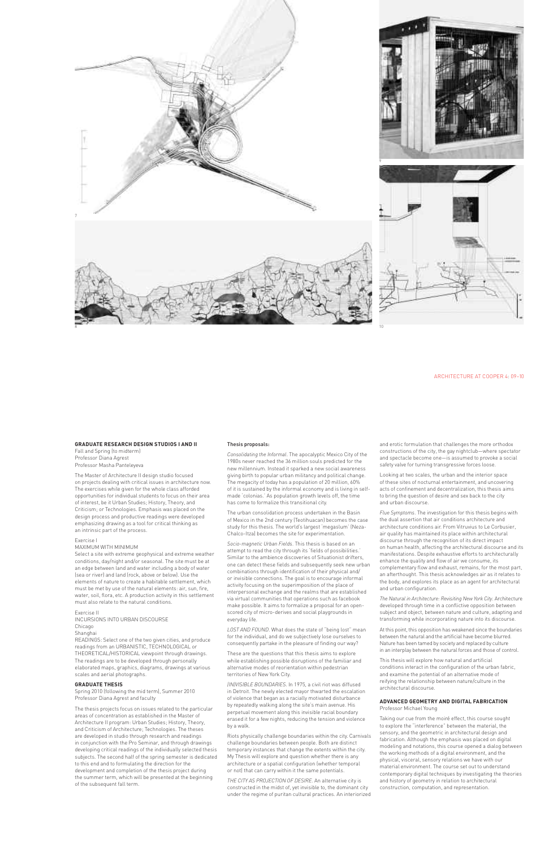#### **GRADUATE RESEARCH DESIGN STUDIOS I AND II**

Fall and Spring (to midterm) Professor Diana Agrest Professor Masha Panteleyeva

The Master of Architecture II design studio focused on projects dealing with critical issues in architecture now. The exercises while given for the whole class afforded opportunities for individual students to focus on their area of interest, be it Urban Studies; History, Theory, and Criticism; or Technologies. Emphasis was placed on the design process and productive readings were developed emphasizing drawing as a tool for critical thinking as an intrinsic part of the process.

#### Exercise I

MAXIMUM WITH MINIMUM

Select a site with extreme geophysical and extreme weather conditions, day/night and/or seasonal. The site must be at an edge between land and water including a body of water (sea or river) and land (rock, above or below). Use the elements of nature to create a habitable settlement, which must be met by use of the natural elements: air, sun, fire, water, soil, flora, etc. A production activity in this settlement must also relate to the natural conditions.

# Exercise II

INCURSIONS INTO URBAN DISCOURSE

#### Chicago Shanghai

READINGS: Select one of the two given cities, and produce readings from an URBANISTIC, TECHNOLOGICAL or THEORETICAL/HISTORICAL viewpoint through drawings. The readings are to be developed through personally elaborated maps, graphics, diagrams, drawings at various scales and aerial photographs.

# **GRADUATE THESIS**

Spring 2010 (following the mid term), Summer 2010 Professor Diana Agrest and faculty

The thesis projects focus on issues related to the particular areas of concentration as established in the Master of Architecture II program: Urban Studies; History, Theory, and Criticism of Architecture; Technologies. The theses are developed in studio through research and readings in conjunction with the Pro Seminar, and through drawings developing critical readings of the individually selected thesis subjects. The second half of the spring semester is dedicated to this end and to formulating the direction for the development and completion of the thesis project during the summer term, which will be presented at the beginning of the subsequent fall term.

#### Thesis proposals:

*Consolidating the Informal*. The apocalyptic Mexico City of the 1980s never reached the 36 million souls predicted for the new millennium. Instead it sparked a new social awareness giving birth to popular urban militancy and political change. The megacity of today has a population of 20 million, 60% of it is sustained by the informal economy and is living in selfmade 'colonias.' As population growth levels off, the time has come to formalize this transitional city.

The urban consolidation process undertaken in the Basin of Mexico in the 2nd century (Teotihuacan) becomes the case study for this thesis. The world's largest 'megaslum' (Neza-Chalco-Itza) becomes the site for experimentation.

*Socio-magnetic Urban Fields*. This thesis is based on an attempt to read the city through its 'fields of possibilities.' Similar to the ambience discoveries of Situationist drifters, one can detect these fields and subsequently seek new urban combinations through identification of their physical and/ or invisible connections. The goal is to encourage informal activity focusing on the superimposition of the place of interpersonal exchange and the realms that are established via virtual communities that operations such as facebook make possible. It aims to formalize a proposal for an openscored city of micro-derives and social playgrounds in everyday life.

*LOST AND FOUND*. What does the state of "being lost" mean for the individual, and do we subjectively lose ourselves to consequently partake in the pleasure of finding our way?

These are the questions that this thesis aims to explore while establishing possible disruptions of the familiar and alternative modes of reorientation within pedestrian territories of New York City.

*(IN)VISIBLE BOUNDARIES*. In 1975, a civil riot was diffused in Detroit. The newly elected mayor thwarted the escalation of violence that began as a racially motivated disturbance by repeatedly walking along the site's main avenue. His perpetual movement along this invisible racial boundary erased it for a few nights, reducing the tension and violence by a walk.

Riots physically challenge boundaries within the city. Carnivals challenge boundaries between people. Both are distinct temporary instances that change the extents within the city. My Thesis will explore and question whether there is any architecture or a spatial configuration (whether temporal or not) that can carry within it the same potentials.

*THE CITY AS PROJECTION OF DESIRE*. An alternative city is constructed in the midst of, yet invisible to, the dominant city under the regime of puritan cultural practices. An interiorized and erotic formulation that challenges the more orthodox constructions of the city, the gay nightclub—where spectator and spectacle become one—is assumed to provoke a social safety valve for turning transgressive forces loose.

Looking at two scales, the urban and the interior space of these sites of nocturnal entertainment, and uncovering acts of confinement and decentralization, this thesis aims to bring the question of desire and sex back to the city and urban discourse.

*Flue Symptoms*. The investigation for this thesis begins with the dual assertion that air conditions architecture and architecture conditions air. From Vitruvius to Le Corbusier, air quality has maintained its place within architectural discourse through the recognition of its direct impact on human health, affecting the architectural discourse and its manifestations. Despite exhaustive efforts to architecturally enhance the quality and flow of air we consume, its complementary flow and exhaust, remains, for the most part, an afterthought. This thesis acknowledges air as it relates to the body, and explores its place as an agent for architectural and urban configuration.

*The Natural in Architecture: Revisiting New York City*. Architecture developed through time in a conflictive opposition between subject and object, between nature and culture, adapting and transforming while incorporating nature into its discourse.

At this point, this opposition has weakened since the boundaries between the natural and the artificial have become blurred. Nature has been tamed by society and replaced by culture in an interplay between the natural forces and those of control.

This thesis will explore how natural and artificial conditions interact in the configuration of the urban fabric, and examine the potential of an alternative mode of reifying the relationship between nature/culture in the architectural discourse.

#### **ADVANCED GEOMETRY AND DIGITAL FABRICATION** Professor Michael Young

Taking our cue from the moiré effect, this course sought to explore the "interference" between the material, the sensory, and the geometric in architectural design and fabrication. Although the emphasis was placed on digital modeling and notations, this course opened a dialog between the working methods of a digital environment, and the physical, visceral, sensory relations we have with our material environment. The course set out to understand contemporary digital techniques by investigating the theories and history of geometry in relation to architectural construction, computation, and representation.





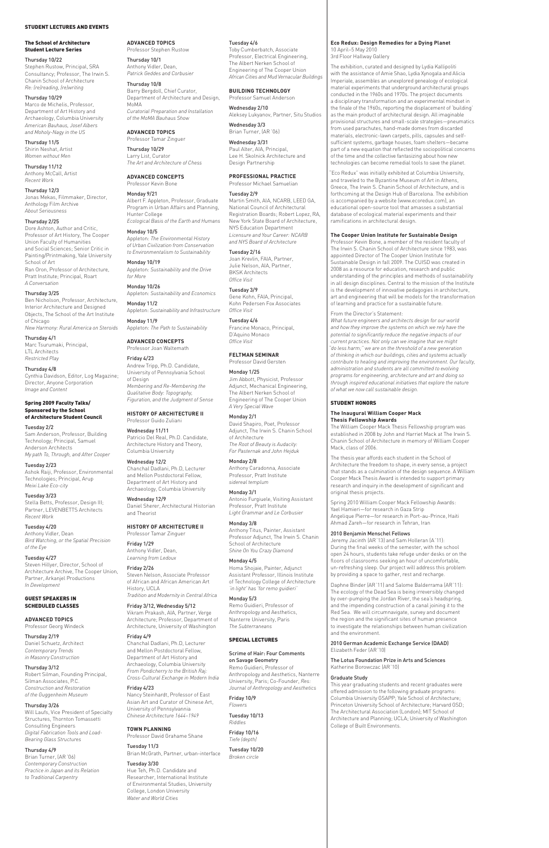# **The School of Architecture Student Lecture Series**

Thursday 10/22 Stephen Rustow, Principal, SRA Consultancy; Professor, The Irwin S.

Chanin School of Architecture *Re: (re)reading, (re)writing*

Thursday 10/29 Marco de Michelis, Professor, Department of Art History and Archaeology, Columbia University *American Bauhaus, Josef Albers and Moholy-Nagy in the US*

Thursday 11/5 Shirin Neshat, Artist *Women without Men*

Thursday 11/12 Anthony McCall, Artist *Recent Work*

Thursday 12/3 Jonas Mekas, Filmmaker, Director, Anthology Film Archive *About Seriousness*

#### Thursday 2/25

Dore Ashton, Author and Critic, Professor of Art History, The Cooper Union Faculty of Humanities and Social Sciences; Senior Critic in Painting/Printmaking, Yale University School of Art Ran Oron, Professor of Architecture, Pratt Institute; Principal, Roart *A Conversation*

Thursday 3/25

Ben Nicholson, Professor, Architecture, Interior Architecture and Designed Objects, The School of the Art Institute of Chicago

*New Harmony: Rural America on Steroids*

Thursday 4/1 Marc Tsurumaki, Principal, LTL Architects *Restricted Play*

Thursday 4/8 Cynthia Davidson, Editor, Log Magazine; Director, Anyone Corporation *Image and Content*

# **Spring 2009 Faculty Talks/ Sponsored by the School of Architecture Student Council**

Tuesday 2/2 Sam Anderson, Professor, Building Technology; Principal, Samuel Anderson Architects *My path To, Through, and After Cooper*

Tuesday 2/23 Ashok Raiji, Professor, Environmental Technologies; Principal, Arup *Meixi Lake Eco-city*

Tuesday 3/23 Stella Betts, Professor, Design III; Partner, LEVENBETTS Architects *Recent Work*

Tuesday 4/20 Anthony Vidler, Dean *Bird Watching, or the Spatial Precision of the Eye*

# Tuesday 4/27 Steven Hillyer, Director, School of Architecture Archive, The Cooper Union, Partner, Arkanjel Productions

*In Development* **GUEST SPEAKERS IN**

# **SCHEDULED CLASSES**

**ADVANCED TOPICS**

Professor Georg Windeck

# Thursday 2/19

Daniel Schuetz, Architect *Contemporary Trends in Masonry Construction*

# Thursday 3/12

Robert Silman, Founding Principal, Silman Associates, P.C. *Construction and Restoration of the Guggenheim Museum*

# Thursday 3/26

Will Laufs, Vice President of Specialty Structures, Thornton Tomassetti Consulting Engineers *Digital Fabrication Tools and Load-Bearing Glass Structures*

# Thursday 4/9

Brian Turner, (AR '06) *Contemporary Construction Practice in Japan and its Relation to Traditional Carpentry*

**ADVANCED TOPICS** Professor Stephen Rustow

Thursday 10/1 Anthony Vidler, Dean, *Patrick Geddes and Corbusier*

Thursday 10/8 Barry Bergdoll, Chief Curator, Department of Architecture and Design, MoMA *Curatorial Preparation and Installation of the MoMA Bauhaus Show*

**ADVANCED TOPICS** Professor Tamar Zinguer

Thursday 10/29 Larry List, Curator *The Art and Architecture of Chess*

**ADVANCED CONCEPTS** Professor Kevin Bone

Monday 9/21 Albert F. Appleton, Professor, Graduate Program in Urban Affairs and Planning, Hunter College *Ecological Basis of the Earth and Humans*

Monday 10/5 Appleton: *The Environmental History of Urban Civilization from Conservation to Environmentalism to Sustainability*

Monday 10/19 Appleton: *Sustainability and the Drive for More*

Monday 10/26 Appleton: *Sustainability and Economics*

Monday 11/2

Appleton: *Sustainability and Infrastructure* Monday 11/9 Appleton: *The Path to Sustainability*

**ADVANCED CONCEPTS** Professor Joan Waltemath

Friday 4/23 Andrew Tripp, Ph.D. Candidate, University of Pennsylvania School of Design *Membering and Re-Membering the Qualitative Body: Topography, Figuration, and the Judgment of Sense*

**HISTORY OF ARCHITECTURE II** Professor Guido Zuliani

Wednesday 11/11 Patricio Del Real, Ph.D. Candidate, Architecture History and Theory, Columbia University

Wednesday 12/2 Chanchal Dadlani, Ph.D, Lecturer and Mellon Postdoctoral Fellow, Department of Art History and Archaeology, Columbia University

Wednesday 12/9 Daniel Sherer, Architectural Historian and Theorist

**HISTORY OF ARCHITECTURE II** Professor Tamar Zinguer

Friday 1/29 Anthony Vidler, Dean, *Learning from Ledoux*

Friday 2/26 Steven Nelson, Associate Professor of African and African American Art History, UCLA *Tradition and Modernity in Central Africa*

Friday 3/12, Wednesday 5/12 Vikram Prakash, AIA, Partner, Verge Architecture; Professor, Department of

Architecture, University of Washington

# Friday 4/9

Chanchal Dadlani, Ph.D, Lecturer and Mellon Postdoctoral Fellow, Department of Art History and Archaeology, Columbia University *From Pondicherry to the British Raj: Cross-Cultural Exchange in Modern India*

# Friday 4/23

Nancy Steinhardt, Professor of East Asian Art and Curator of Chinese Art, University of Pennsylvannia *Chinese Architecture 1644–1949*

# **TOWN PLANNING**

Professor David Grahame Shane

Tuesday 11/3 Brian McGrath, Partner, urban-interface

# Tuesday 3/30

Hue Teh, Ph.D. Candidate and Researcher, International Institute of Environmental Studies, University College, London University *Water and World Cities*

# Tuesday 4/6

Toby Cumberbatch, Associate Professor, Electrical Engineering, The Albert Nerken School of Engineering of The Cooper Union *African Cities and Mud Vernacular Buildings*

**BUILDING TECHNOLOGY** Professor Samuel Anderson

Wednesday 2/10 Aleksey Lukyanov, Partner, Situ Studios

Wednesday 3/3 Brian Turner, (AR '06)

Wednesday 3/31 Paul Alter, AIA, Principal, Lee H. Skolnick Architecture and Design Partnership

#### **PROFESSIONAL PRACTICE** Professor Michael Samuelian

Tuesday 2/9 Martin Smith, AIA, NCARB, LEED GA, National Council of Architectural Registration Boards; Robert Lopez, RA, New York State Board of Architecture, NYS Education Department *Licensure and Your Career: NCARB and NYS Board of Architecture*

Tuesday 2/16 Joan Krevlin, FAIA, Partner, Julie Nelson, AIA, Partner, BKSK Architects *Office Visit*

Tuesday 3/9 Gene Kohn, FAIA, Principal, Kohn Pedersen Fox Associates *Office Visit*

Tuesday 4/6 Francine Monaco, Principal, D'Aquino Monaco *Office Visit*

#### **FELTMAN SEMINAR** Professor David Gersten

Monday 1/25 Jim Abbott, Physicist, Professor Adjunct, Mechanical Engineering, The Albert Nerken School of Engineering of The Cooper Union *A Very Special Wave*

Monday 2/1 David Shapiro, Poet, Professor Adjunct, The Irwin S. Chanin School of Architecture *The Root of Beauty is Audacity: For Pasternak and John Hejduk*

Monday 2/8 Anthony Caradonna, Associate Professor, Pratt Institute *sidereal templum*

Monday 3/1 Antonio Furgiuele, Visiting Assistant Professor, Pratt Institute *Light Grammar and Le Corbusier*

Monday 3/8 Anthony Titus, Painter, Assistant Professor Adjunct, The Irwin S. Chanin School of Architecture *Shine On You Crazy Diamond*

Monday 4/5 Homa Shojaie, Painter, Adjunct Assistant Professor, Illinois Institute of Technology College of Architecture *'in light' has 'for remo guidieri'*

Monday 5/3 Remo Guidieri, Professor of Anthropology and Aesthetics, Nanterre University, Paris

*The Subterraneans*

# **SPECIAL LECTURES**

# Scrime of Hair: Four Comments on Savage Geometry

Remo Guidieri, Professor of Anthropology and Aesthetics, Nanterre University, Paris; Co-Founder, *Res: Journal of Anthropology and Aesthetics*

Friday 10/9 *Flowers*

Tuesday 10/13 *Riddles*

Friday 10/16 *Tiefe (depth)*

Tuesday 10/20 *Broken circle*

**Eco Redux: Design Remedies for a Dying Planet** 10 April–5 May 2010 3rd Floor Hallway Gallery

The exhibition, curated and designed by Lydia Kallipoliti with the assistance of Amie Shao, Lydia Xynogala and Alicia Imperiale, assembles an unexplored genealogy of ecological material experiments that underground architectural groups conducted in the 1960s and 1970s. The project documents a disciplinary transformation and an experimental mindset in the finale of the 1960s, reporting the displacement of 'building' as the main product of architectural design. All imaginable provisional structures and small-scale strategies—pneumatics from used parachutes, hand-made domes from discarded materials, electronic-lawn carpets, pills, capsules and selfsufficient systems, garbage houses, foam shelters—became part of a new equation that reflected the sociopolitical concerns of the time and the collective fantasizing about how new technologies can become remedial tools to save the planet.

"Eco Redux" was initially exhibited at Columbia University, and traveled to the Byzantine Museum of Art in Athens, Greece, The Irwin S. Chanin School of Architecture, and is forthcoming at the Design Hub of Barcelona. The exhibition is accompanied by a website (www.ecoredux.com), an educational open-source tool that amasses a substantial database of ecological material experiments and their ramifications in architectural design.

**The Cooper Union Institute for Sustainable Design**

Professor Kevin Bone, a member of the resident faculty of The Irwin S. Chanin School of Architecture since 1983, was appointed Director of The Cooper Union Institute for Sustainable Design in fall 2009. The CUISD was created in 2008 as a resource for education, research and public understanding of the principles and methods of sustainability in all design disciplines. Central to the mission of the Institute is the development of innovative pedagogies in architecture, art and engineering that will be models for the transformation of learning and practice for a sustainable future.

From the Director's Statement:

*What future engineers and architects design for our world and how they improve the systems on which we rely have the potential to significantly reduce the negative impacts of our current practices. Not only can we imagine that we might "do less harm;" we are on the threshold of a new generation of thinking in which our buildings, cities and systems actually contribute to healing and improving the environment. Our faculty, administration and students are all committed to evolving programs for engineering, architecture and art and doing so through inspired educational initiatives that explore the nature of what we now call sustainable design.*

# **STUDENT HONORS**

**The Inaugural William Cooper Mack Thesis Fellowship Awards**

The William Cooper Mack Thesis Fellowship program was established in 2008 by John and Harriet Mack at The Irwin S. Chanin School of Architecture in memory of William Cooper Mack, class of 2006.

The thesis year affords each student in the School of Architecture the freedom to shape, in every sense, a project that stands as a culmination of the design sequence. A William Cooper Mack Thesis Award is intended to support primary research and inquiry in the development of significant and original thesis projects.

Spring 2010 William Cooper Mack Fellowship Awards: Yael Hamieri—for research in Gaza Strip Angelique Pierre—for research in Port-au-Prince, Haiti Ahmad Zareh—for research in Tehran, Iran

# 2010 Benjamin Menschel Fellows

Jeremy Jacinth (AR'13) and Sam Holleran (A'11): During the final weeks of the semester, with the school open 24 hours, students take refuge under desks or on the floors of classrooms seeking an hour of uncomfortable, un-refreshing sleep. Our project will address this problem by providing a space to gather, rest and recharge.

Daphne Binder (AR'11) and Salome Balderrama (AR'11): The ecology of the Dead Sea is being irreversibly changed by over-pumping the Jordan River, the sea's headspring, and the impending construction of a canal joining it to the Red Sea. We will circumnavigate, survey and document the region and the significant sites of human presence

to investigate the relationships between human civilization and the environment.

2010 German Academic Exchange Service (DAAD) Elizabeth Feder (AR'10)

#### The Lotus Foundation Prize in Arts and Sciences Katherine Borowczac (AR'10)

# Graduate Study

This year graduating students and recent graduates were offered admission to the following graduate programs: Columbia University GSAPP; Yale School of Architecture; Princeton University School of Architecture; Harvard GSD; The Architectural Association (London); MIT School of Architecture and Planning; UCLA; University of Washington College of Built Environments.

# **STUDENT LECTURES AND EVENTS**